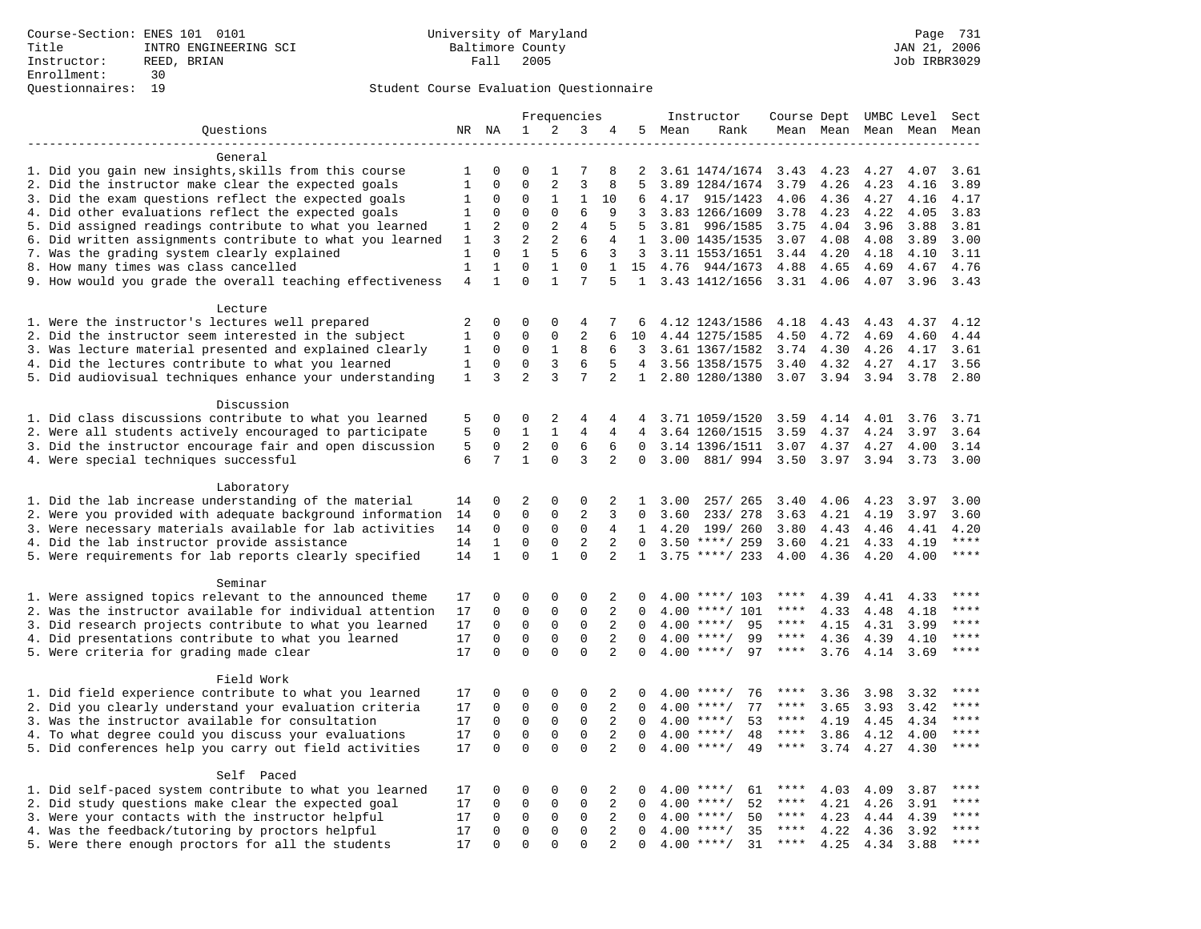|                                                           |                |                            |                             |                         | Frequencies             |                |                      |      | Instructor                         | Course Dept UMBC Level |              |              |                     | Sect  |
|-----------------------------------------------------------|----------------|----------------------------|-----------------------------|-------------------------|-------------------------|----------------|----------------------|------|------------------------------------|------------------------|--------------|--------------|---------------------|-------|
| Ouestions                                                 |                | NR NA                      | 1                           | 2                       | 3                       | 4              | 5                    | Mean | Rank                               |                        |              |              | Mean Mean Mean Mean | Mean  |
|                                                           |                |                            |                             |                         |                         |                |                      |      |                                    |                        |              |              |                     |       |
| General                                                   |                |                            |                             |                         |                         |                |                      |      |                                    |                        |              |              |                     |       |
| 1. Did you gain new insights, skills from this course     | 1              | 0                          | $\mathbf 0$                 | 1                       | 7                       | 8              | 2                    |      | 3.61 1474/1674                     | 3.43                   | 4.23         | 4.27         | 4.07                | 3.61  |
| 2. Did the instructor make clear the expected goals       | $\mathbf{1}$   | $\mathbf 0$                | $\Omega$                    | 2                       | $\overline{3}$          | 8              | 5                    |      | 3.89 1284/1674                     | 3.79                   | 4.26         | 4.23         | 4.16                | 3.89  |
| 3. Did the exam questions reflect the expected goals      | 1              | $\mathbf 0$                | $\mathbf 0$                 | 1                       | 1                       | 10             | 6                    | 4.17 | 915/1423                           | 4.06                   | 4.36         | 4.27         | 4.16                | 4.17  |
| 4. Did other evaluations reflect the expected goals       | 1              | 0                          | $\mathbf{0}$                | $\mathbf 0$             | 6                       | 9              | 3                    |      | 3.83 1266/1609                     | 3.78                   | 4.23         | 4.22         | 4.05                | 3.83  |
| 5. Did assigned readings contribute to what you learned   | 1              | 2                          | $\mathbf 0$                 | 2                       | 4                       | 5              | 5                    |      | 3.81 996/1585                      | 3.75                   | 4.04         | 3.96         | 3.88                | 3.81  |
| 6. Did written assignments contribute to what you learned | 1              | 3                          | 2                           | $\mathbf{2}$            | 6                       | 4              | 1                    |      | 3.00 1435/1535                     | 3.07                   | 4.08         | 4.08         | 3.89                | 3.00  |
| 7. Was the grading system clearly explained               | $\mathbf{1}$   | $\Omega$                   | $\mathbf{1}$                | 5                       | 6                       | 3              | $\overline{3}$       |      | 3.11 1553/1651                     | 3.44                   | 4.20         | 4.18         | 4.10                | 3.11  |
| 8. How many times was class cancelled                     | $\mathbf{1}$   | $\mathbf{1}$               | $\Omega$                    | $\mathbf{1}$            | $\Omega$                | $\mathbf{1}$   | 15                   | 4.76 | 944/1673                           | 4.88                   | 4.65         | 4.69         | 4.67                | 4.76  |
| 9. How would you grade the overall teaching effectiveness | $\overline{4}$ | $\mathbf{1}$               | $\Omega$                    | $\mathbf{1}$            | 7                       | 5              |                      |      | 1 3.43 1412/1656                   | 3.31 4.06              |              | 4.07         | 3.96                | 3.43  |
| Lecture                                                   |                |                            |                             |                         |                         |                |                      |      |                                    |                        |              |              |                     |       |
| 1. Were the instructor's lectures well prepared           | 2              | $\Omega$                   | $\Omega$                    | $\Omega$                | 4                       | 7              | 6                    |      | 4.12 1243/1586                     | 4.18                   | 4.43         | 4.43         | 4.37                | 4.12  |
| 2. Did the instructor seem interested in the subject      | $\mathbf{1}$   | $\mathbf 0$                | $\mathbf{0}$                | $\mathbf 0$             | 2                       | 6              | 10                   |      | 4.44 1275/1585                     | 4.50                   | 4.72         | 4.69         | 4.60                | 4.44  |
| 3. Was lecture material presented and explained clearly   | 1              | $\mathbf 0$                | $\mathbf 0$                 | $\mathbf{1}$            | 8                       | 6              | 3                    |      | 3.61 1367/1582                     | 3.74                   | 4.30         | 4.26         | 4.17                | 3.61  |
| 4. Did the lectures contribute to what you learned        | $\mathbf{1}$   | $\mathbf 0$                | $\mathbf{0}$                | 3                       | 6                       | 5              | $\overline{4}$       |      | 3.56 1358/1575                     | 3.40                   | 4.32         | 4.27         | 4.17                | 3.56  |
| 5. Did audiovisual techniques enhance your understanding  | 1              | 3                          | $\overline{2}$              | 3                       | 7                       | 2              | $\mathbf{1}$         |      | 2.80 1280/1380                     | 3.07                   | 3.94         | 3.94         | 3.78                | 2.80  |
|                                                           |                |                            |                             |                         |                         |                |                      |      |                                    |                        |              |              |                     |       |
| Discussion                                                |                |                            |                             |                         |                         |                |                      |      |                                    |                        |              |              |                     |       |
| 1. Did class discussions contribute to what you learned   | 5              | $\Omega$                   | $\Omega$                    | 2                       | 4                       | 4              | 4                    |      | 3.71 1059/1520                     | 3.59                   | 4.14         | 4.01         | 3.76                | 3.71  |
| 2. Were all students actively encouraged to participate   | 5              | $\mathbf 0$                | $\mathbf{1}$                | $\mathbf{1}$            | 4                       | 4              | $\overline{4}$       |      | 3.64 1260/1515                     | 3.59                   | 4.37         | 4.24         | 3.97                | 3.64  |
| 3. Did the instructor encourage fair and open discussion  | 5              | 0                          | 2                           | $\mathsf{O}\xspace$     | 6                       | 6              | $\mathbf 0$          |      | 3.14 1396/1511                     | 3.07                   | 4.37         | 4.27         | 4.00                | 3.14  |
| 4. Were special techniques successful                     | 6              | 7                          | $\mathbf{1}$                | $\Omega$                | 3                       | 2              | $\Omega$             | 3.00 | 881/994                            | 3.50                   | 3.97         | 3.94         | 3.73                | 3.00  |
|                                                           |                |                            |                             |                         |                         |                |                      |      |                                    |                        |              |              |                     |       |
| Laboratory                                                |                |                            |                             |                         |                         |                |                      |      |                                    |                        |              |              |                     |       |
| 1. Did the lab increase understanding of the material     | 14             | 0                          | $\overline{2}$              | $\mathsf 0$             | $\mathsf 0$             | 2              | $\mathbf{1}$         | 3.00 | 257/ 265                           | 3.40                   | 4.06         | 4.23         | 3.97                | 3.00  |
| 2. Were you provided with adequate background information | 14             | $\mathbf 0$                | $\mathbf{0}$                | $\mathbf 0$             | $\overline{2}$          | 3              | 0                    | 3.60 | 233/ 278                           | 3.63                   | 4.21         | 4.19         | 3.97                | 3.60  |
| 3. Were necessary materials available for lab activities  | 14             | 0                          | $\mathbf 0$                 | 0                       | $\mathbf 0$             | 4              | $\mathbf{1}$         | 4.20 | 199/ 260                           | 3.80                   | 4.43         | 4.46         | 4.41                | 4.20  |
| 4. Did the lab instructor provide assistance              | 14             | $\mathbf{1}$               | $\Omega$                    | $\Omega$                | $\overline{2}$          | 2              | $\Omega$             |      | $3.50$ ****/ 259                   | 3.60                   | 4.21         | 4.33         | 4.19                | $***$ |
| 5. Were requirements for lab reports clearly specified    | 14             | $\mathbf{1}$               | $\Omega$                    | $\mathbf{1}$            | $\Omega$                | $\overline{2}$ | $\mathbf{1}$         |      | $3.75$ ****/ 233                   | 4.00                   | 4.36         | 4.20         | 4.00                | ****  |
|                                                           |                |                            |                             |                         |                         |                |                      |      |                                    |                        |              |              |                     |       |
| Seminar                                                   |                |                            |                             |                         |                         |                |                      |      |                                    |                        |              |              |                     | $***$ |
| 1. Were assigned topics relevant to the announced theme   | 17             | 0                          | $\mathbf 0$                 | $\mathbf 0$             | 0                       | 2              | $\Omega$             |      | $4.00$ ****/ 103                   | ****<br>****           | 4.39         | 4.41         | 4.33                | ****  |
| 2. Was the instructor available for individual attention  | 17             | 0                          | $\mathbf 0$                 | $\mathbf 0$             | $\mathbf 0$             | 2              | $\Omega$             | 4.00 | $***/101$                          | $***$ * *              | 4.33         | 4.48         | 4.18                | ****  |
| 3. Did research projects contribute to what you learned   | 17             | $\mathbf 0$                | $\mathbf{0}$                | $\mathbf 0$             | $\mathbf 0$<br>$\Omega$ | 2              | $\Omega$<br>$\Omega$ |      | 95<br>$4.00$ ****/<br>$4.00$ ****/ | $***$ * * *            | 4.15         | 4.31         | 3.99                | $***$ |
| 4. Did presentations contribute to what you learned       | 17<br>17       | $\mathbf 0$<br>$\mathbf 0$ | $\mathbf 0$<br>$\mathbf{0}$ | $\mathbf 0$<br>$\Omega$ | $\Omega$                | 2<br>2         | $\Omega$             |      | 99<br>$4.00$ ****/<br>97           | $***$ * * *            | 4.36<br>3.76 | 4.39<br>4.14 | 4.10<br>3.69        | ****  |
| 5. Were criteria for grading made clear                   |                |                            |                             |                         |                         |                |                      |      |                                    |                        |              |              |                     |       |
| Field Work                                                |                |                            |                             |                         |                         |                |                      |      |                                    |                        |              |              |                     |       |
| 1. Did field experience contribute to what you learned    | 17             | 0                          | $\mathbf 0$                 | $\mathbf 0$             | 0                       | 2              | $\Omega$             |      | $4.00$ ****/<br>76                 | ****                   | 3.36         | 3.98         | 3.32                |       |
| 2. Did you clearly understand your evaluation criteria    | 17             | $\Omega$                   | $\mathbf 0$                 | $\Omega$                | $\Omega$                | 2              | $\Omega$             |      | 77<br>$4.00$ ****/                 | ****                   | 3.65         | 3.93         | 3.42                | ****  |
| 3. Was the instructor available for consultation          | 17             | $\mathbf 0$                | $\mathsf 0$                 | $\mathsf{O}$            | $\mathsf 0$             | 2              | $\Omega$             |      | $4.00$ ****/<br>53                 | $***$ * *              | 4.19         | 4.45         | 4.34                | $***$ |
| 4. To what degree could you discuss your evaluations      | 17             | $\mathbf 0$                | $\mathbf 0$                 | $\mathbf 0$             | $\mathbf 0$             | 2              | 0                    |      | $4.00$ ****/<br>48                 | $***$ * * *            | 3.86         | 4.12         | 4.00                | $***$ |
| 5. Did conferences help you carry out field activities    | 17             | $\Omega$                   | $\Omega$                    | $\Omega$                | $\Omega$                | 2              | $\Omega$             | 4.00 | $***$ /<br>49                      | ****                   | 3.74         | 4.27         | 4.30                | $***$ |
|                                                           |                |                            |                             |                         |                         |                |                      |      |                                    |                        |              |              |                     |       |
| Self Paced                                                |                |                            |                             |                         |                         |                |                      |      |                                    |                        |              |              |                     |       |
| 1. Did self-paced system contribute to what you learned   | 17             | 0                          | 0                           | $\mathbf 0$             | 0                       | 2              | $\Omega$             |      | $4.00$ ****/<br>61                 | ****                   | 4.03         | 4.09         | 3.87                | ****  |
| 2. Did study questions make clear the expected goal       | 17             | $\mathbf 0$                | $\mathbf 0$                 | $\mathbf 0$             | $\mathbf 0$             | 2              | 0                    | 4.00 | $***/$<br>52                       | $***$ * *              | 4.21         | 4.26         | 3.91                | ****  |
| 3. Were your contacts with the instructor helpful         | 17             | $\mathbf 0$                | $\mathbf 0$                 | $\mathbf 0$             | $\mathbf 0$             | 2              | $\Omega$             | 4.00 | 50<br>$***/$                       | $***$ * *              | 4.23         | 4.44         | 4.39                | ****  |
| 4. Was the feedback/tutoring by proctors helpful          | 17             | 0                          | $\mathbf 0$                 | $\mathbf 0$             | $\mathbf 0$             | 2              | $\Omega$             | 4.00 | $***/$<br>35                       | ****                   | 4.22         | 4.36         | 3.92                | ****  |
| 5. Were there enough proctors for all the students        | 17             | $\Omega$                   | $\mathbf{0}$                | $\Omega$                | $\mathbf{0}$            | $\overline{a}$ | $\Omega$             |      | $4.00$ ****/<br>31                 | $***$ * * *            | 4.25         | 4.34         | 3.88                | ****  |
|                                                           |                |                            |                             |                         |                         |                |                      |      |                                    |                        |              |              |                     |       |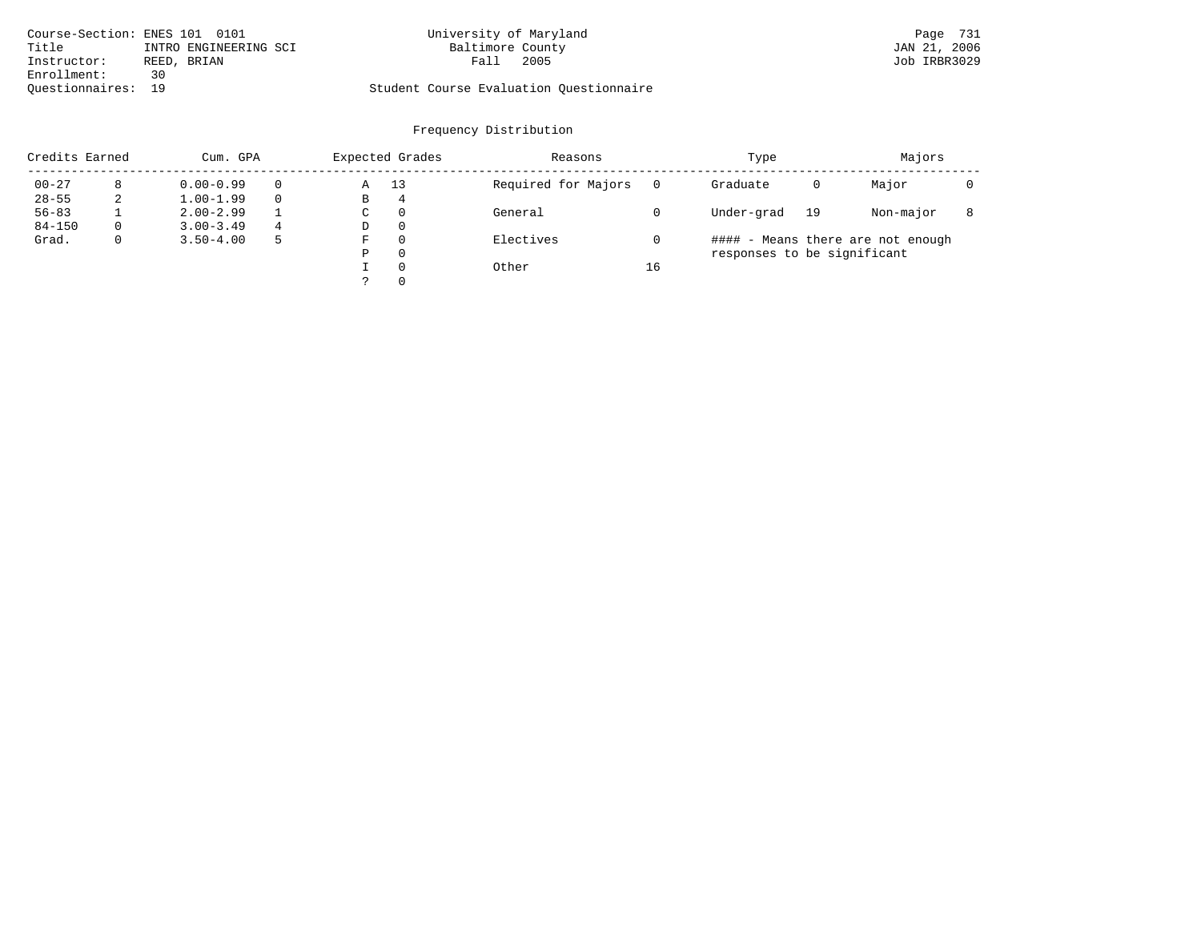| Course-Section: ENES 101 0101 |                       | University of Maryland                  |      | Page 731     |
|-------------------------------|-----------------------|-----------------------------------------|------|--------------|
| Title                         | INTRO ENGINEERING SCI | Baltimore County                        |      | JAN 21, 2006 |
| Instructor:                   | REED, BRIAN           | Fall                                    | 2005 | Job IRBR3029 |
| Enrollment:<br>っい             |                       |                                         |      |              |
| Ouestionnaires: 19            |                       | Student Course Evaluation Questionnaire |      |              |

| Credits Earned |             | Cum. GPA      |   | Expected Grades |          | Reasons             |    | Type                        |    | Majors                            |  |
|----------------|-------------|---------------|---|-----------------|----------|---------------------|----|-----------------------------|----|-----------------------------------|--|
| $00 - 27$      | 8           | $0.00 - 0.99$ |   | Α               | 13       | Required for Majors |    | Graduate                    | 0  | Major                             |  |
| $28 - 55$      | 2           | $1.00 - 1.99$ |   | В               | 4        |                     |    |                             |    |                                   |  |
| $56 - 83$      |             | $2.00 - 2.99$ |   | C               | $\Omega$ | General             |    | Under-grad                  | 19 | Non-major                         |  |
| $84 - 150$     | $\Omega$    | $3.00 - 3.49$ | 4 | D               | $\Omega$ |                     |    |                             |    |                                   |  |
| Grad.          | $\mathbf 0$ | $3.50 - 4.00$ |   | F               | $\Omega$ | Electives           |    |                             |    | #### - Means there are not enough |  |
|                |             |               |   | Ρ               | $\Omega$ |                     |    | responses to be significant |    |                                   |  |
|                |             |               |   |                 | $\Omega$ | Other               | 16 |                             |    |                                   |  |
|                |             |               |   |                 | $\Omega$ |                     |    |                             |    |                                   |  |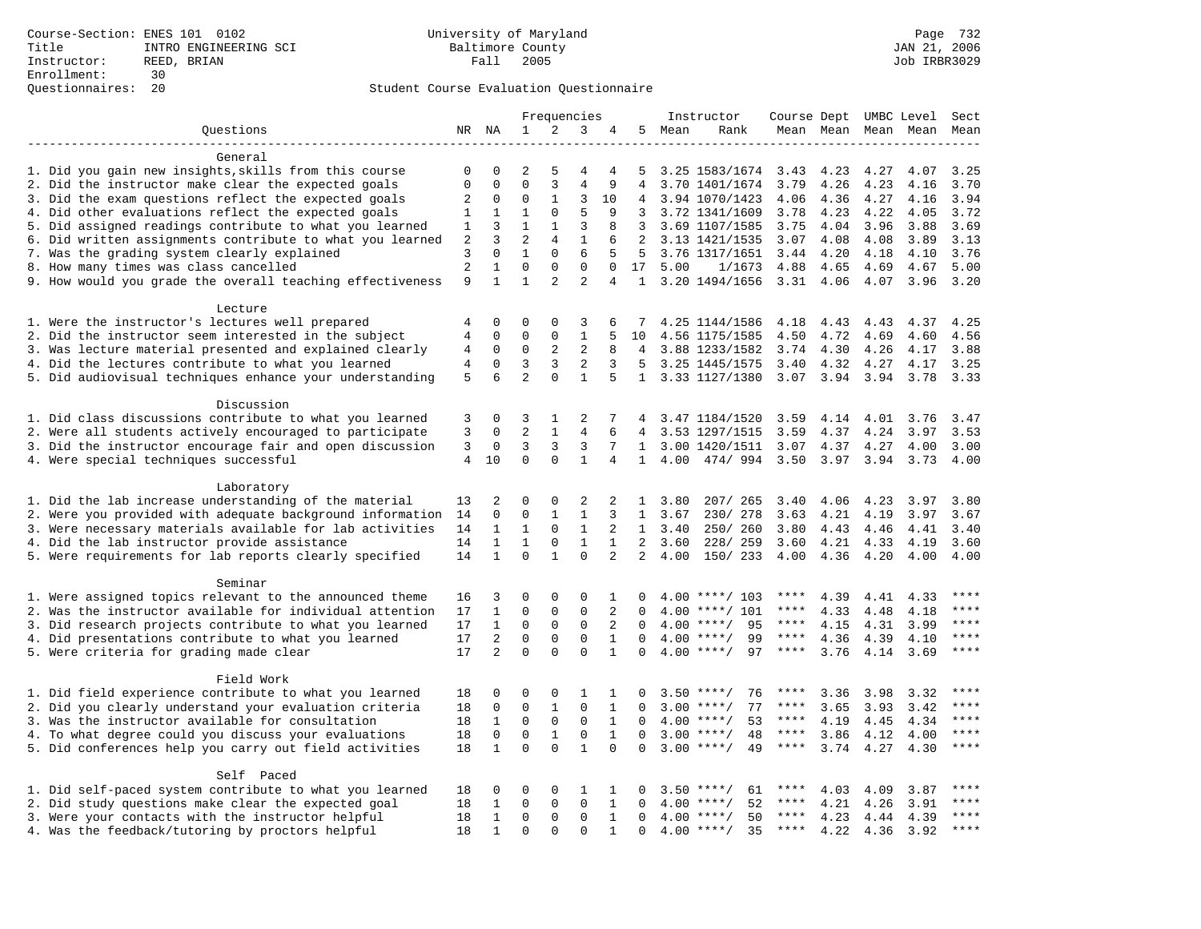|                                                           |                |              |                |                | Frequencies    |                |                |      | Instructor         | Course Dept UMBC Level |                     |      |      | Sect        |
|-----------------------------------------------------------|----------------|--------------|----------------|----------------|----------------|----------------|----------------|------|--------------------|------------------------|---------------------|------|------|-------------|
| Questions                                                 |                | NR NA        | 1              | 2              | 3              | 4              | 5              | Mean | Rank               |                        | Mean Mean Mean Mean |      |      | Mean        |
|                                                           |                |              |                |                |                |                |                |      |                    |                        |                     |      |      |             |
| General                                                   |                |              |                |                |                |                |                |      |                    |                        |                     |      |      |             |
| 1. Did you gain new insights, skills from this course     | 0              | 0            | 2              | 5              | 4              | 4              | 5              |      | 3.25 1583/1674     | 3.43                   | 4.23                | 4.27 | 4.07 | 3.25        |
| 2. Did the instructor make clear the expected goals       | 0              | 0            | $\mathbf{0}$   | 3              | $\overline{4}$ | 9              | 4              |      | 3.70 1401/1674     | 3.79                   | 4.26                | 4.23 | 4.16 | 3.70        |
| 3. Did the exam questions reflect the expected goals      | 2              | 0            | $\mathbf 0$    | 1              | 3              | 10             |                |      | 3.94 1070/1423     | 4.06                   | 4.36                | 4.27 | 4.16 | 3.94        |
| 4. Did other evaluations reflect the expected goals       | 1              | 1            | $\mathbf{1}$   | $\mathbf 0$    | 5              | 9              | 3              |      | 3.72 1341/1609     | 3.78                   | 4.23                | 4.22 | 4.05 | 3.72        |
| 5. Did assigned readings contribute to what you learned   | 1              | 3            | 1              | 1              | 3              | 8              | 3              |      | 3.69 1107/1585     | 3.75                   | 4.04                | 3.96 | 3.88 | 3.69        |
| 6. Did written assignments contribute to what you learned | $\overline{a}$ | 3            | $\overline{a}$ | $\overline{4}$ | $\mathbf{1}$   | 6              | $\overline{2}$ |      | 3.13 1421/1535     | 3.07                   | 4.08                | 4.08 | 3.89 | 3.13        |
| 7. Was the grading system clearly explained               | 3              | $\mathbf 0$  | $\mathbf{1}$   | $\mathbf 0$    | 6              | 5              | 5              |      | 3.76 1317/1651     | 3.44                   | 4.20                | 4.18 | 4.10 | 3.76        |
| 8. How many times was class cancelled                     | $\overline{a}$ | 1            | $\mathbf 0$    | $\mathbf 0$    | $\mathsf 0$    | 0              | 17             | 5.00 | 1/1673             | 4.88                   | 4.65                | 4.69 | 4.67 | 5.00        |
| 9. How would you grade the overall teaching effectiveness | 9              | $\mathbf{1}$ | $\mathbf{1}$   | $\overline{a}$ | $\overline{2}$ | $\overline{4}$ | $\mathbf{1}$   |      | 3.20 1494/1656     | 3.31                   | 4.06                | 4.07 | 3.96 | 3.20        |
| Lecture                                                   |                |              |                |                |                |                |                |      |                    |                        |                     |      |      |             |
| 1. Were the instructor's lectures well prepared           | 4              | 0            | 0              | $\mathbf 0$    | 3              | 6              |                |      | 4.25 1144/1586     | 4.18                   | 4.43                | 4.43 | 4.37 | 4.25        |
| 2. Did the instructor seem interested in the subject      | 4              | $\mathbf 0$  | $\mathbf{0}$   | $\mathbf 0$    | $\mathbf{1}$   | 5              | 10             |      | 4.56 1175/1585     | 4.50                   | 4.72                | 4.69 | 4.60 | 4.56        |
| 3. Was lecture material presented and explained clearly   | 4              | $\mathbf 0$  | $\mathbf 0$    | 2              | 2              | 8              | 4              |      | 3.88 1233/1582     | 3.74                   | 4.30                | 4.26 | 4.17 | 3.88        |
| 4. Did the lectures contribute to what you learned        | 4              | $\mathbf 0$  | 3              | 3              | 2              | 3              | 5              |      | 3.25 1445/1575     | 3.40                   | 4.32                | 4.27 | 4.17 | 3.25        |
| 5. Did audiovisual techniques enhance your understanding  | 5              | 6            | $\overline{2}$ | $\Omega$       | $\mathbf{1}$   | 5              |                |      | 1 3.33 1127/1380   |                        | 3.07 3.94 3.94      |      | 3.78 | 3.33        |
|                                                           |                |              |                |                |                |                |                |      |                    |                        |                     |      |      |             |
| Discussion                                                |                |              |                |                |                |                |                |      |                    |                        |                     |      |      |             |
| 1. Did class discussions contribute to what you learned   | 3              | $\Omega$     | 3              | 1              | 2              | 7              |                |      | 3.47 1184/1520     | 3.59                   | 4.14                | 4.01 | 3.76 | 3.47        |
| 2. Were all students actively encouraged to participate   | 3              | $\Omega$     | $\overline{2}$ | $\mathbf{1}$   | $\overline{4}$ |                | $\overline{4}$ |      | 3.53 1297/1515     | 3.59                   | 4.37                | 4.24 | 3.97 | 3.53        |
| 3. Did the instructor encourage fair and open discussion  | 3              | 0            | 3              | 3              | 3              | 7              | $\mathbf{1}$   |      | 3.00 1420/1511     | 3.07                   | 4.37                | 4.27 | 4.00 | 3.00        |
| 4. Were special techniques successful                     | $\overline{4}$ | 10           | $\mathbf 0$    | $\mathbf 0$    | 1              | 4              | $\mathbf{1}$   | 4.00 | 474/994            | 3.50                   | 3.97                | 3.94 | 3.73 | 4.00        |
|                                                           |                |              |                |                |                |                |                |      |                    |                        |                     |      |      |             |
| Laboratory                                                |                |              |                |                |                |                |                |      |                    |                        |                     |      |      |             |
| 1. Did the lab increase understanding of the material     | 13             | 2            | $\mathbf 0$    | $\mathbf 0$    | 2              | 2              | 1              | 3.80 | 207/ 265           | 3.40                   | 4.06                | 4.23 | 3.97 | 3.80        |
| 2. Were you provided with adequate background information | 14             | $\Omega$     | $\mathbf{0}$   | $\mathbf{1}$   | $\mathbf{1}$   | 3              | $\mathbf{1}$   | 3.67 | 230/ 278           | 3.63                   | 4.21                | 4.19 | 3.97 | 3.67        |
| 3. Were necessary materials available for lab activities  | 14             | $\mathbf{1}$ | $\mathbf{1}$   | $\mathbf 0$    | $\mathbf{1}$   | 2              | 1              | 3.40 | 250/260            | 3.80                   | 4.43                | 4.46 | 4.41 | 3.40        |
| 4. Did the lab instructor provide assistance              | 14             | $\mathbf{1}$ | $\mathbf{1}$   | $\mathsf{O}$   | $\mathbf{1}$   | $\mathbf{1}$   | 2              | 3.60 | 228/ 259           | 3.60                   | 4.21                | 4.33 | 4.19 | 3.60        |
| 5. Were requirements for lab reports clearly specified    | 14             | $\mathbf{1}$ | $\mathbf 0$    | $\mathbf{1}$   | $\mathbf 0$    | 2              | $\overline{a}$ | 4.00 | 150/ 233           | 4.00                   | 4.36                | 4.20 | 4.00 | 4.00        |
| Seminar                                                   |                |              |                |                |                |                |                |      |                    |                        |                     |      |      |             |
| 1. Were assigned topics relevant to the announced theme   | 16             | 3            | $\mathbf 0$    | $\mathbf 0$    | 0              | 1              | 0              | 4.00 | ****/ 103          | ****                   | 4.39                | 4.41 | 4.33 | ****        |
| 2. Was the instructor available for individual attention  | 17             | $\mathbf{1}$ | $\mathbf 0$    | $\mathbf 0$    | $\mathbf{0}$   | 2              | $\Omega$       | 4.00 | $***/101$          | ****                   | 4.33                | 4.48 | 4.18 | ****        |
| 3. Did research projects contribute to what you learned   | 17             | $\mathbf{1}$ | $\mathbf{0}$   | $\mathbf 0$    | $\mathbf{0}$   | 2              | $\Omega$       | 4.00 | $***/$<br>95       | $***$ * *              | 4.15                | 4.31 | 3.99 | ****        |
| 4. Did presentations contribute to what you learned       | 17             | 2            | $\mathbf 0$    | $\mathbf 0$    | $\mathbf{0}$   | $\mathbf{1}$   | 0              |      | $4.00$ ****/<br>99 | $***$ * *              | 4.36                | 4.39 | 4.10 | ****        |
| 5. Were criteria for grading made clear                   | 17             | 2            | $\Omega$       | $\Omega$       | $\Omega$       | $\mathbf{1}$   | $\Omega$       |      | $4.00$ ****/<br>97 | $***$ * * *            | 3.76                | 4.14 | 3.69 | $***$       |
|                                                           |                |              |                |                |                |                |                |      |                    |                        |                     |      |      |             |
| Field Work                                                |                |              |                |                |                |                |                |      |                    |                        |                     |      |      |             |
| 1. Did field experience contribute to what you learned    | 18             | 0            | 0              | 0              | 1              | 1              | 0              |      | $3.50$ ****/<br>76 | ****                   | 3.36                | 3.98 | 3.32 | ****        |
| 2. Did you clearly understand your evaluation criteria    | 18             | $\mathbf 0$  | $\mathbf 0$    | $\mathbf{1}$   | $\mathbf 0$    | $\mathbf{1}$   | $\Omega$       | 3.00 | 77<br>$***$ /      | $***$ * * *            | 3.65                | 3.93 | 3.42 | ****        |
| 3. Was the instructor available for consultation          | 18             | $\mathbf{1}$ | $\mathbf{0}$   | $\mathsf{O}$   | $\mathbf{0}$   | $\mathbf{1}$   | $\Omega$       | 4.00 | $***/$<br>53       | $***$ * *              | 4.19                | 4.45 | 4.34 | $***$ * * * |
| 4. To what degree could you discuss your evaluations      | 18             | $\mathbf 0$  | $\mathbf{0}$   | 1              | $\mathbf{0}$   | 1              | $\Omega$       |      | $3.00$ ****/<br>48 | ****                   | 3.86                | 4.12 | 4.00 | $***$       |
| 5. Did conferences help you carry out field activities    | 18             | $\mathbf{1}$ | $\Omega$       | $\Omega$       | $\mathbf{1}$   | $\Omega$       | $\Omega$       |      | $3.00$ ****/<br>49 | $***$ * *              | 3.74                | 4.27 | 4.30 | ****        |
| Self Paced                                                |                |              |                |                |                |                |                |      |                    |                        |                     |      |      |             |
| 1. Did self-paced system contribute to what you learned   | 18             | 0            | $\mathbf 0$    | $\mathsf 0$    | 1              | 1              | $\Omega$       | 3.50 | $***/$<br>61       | $***$ * * *            | 4.03                | 4.09 | 3.87 |             |
| 2. Did study questions make clear the expected goal       | 18             | $\mathbf{1}$ | $\mathbf{0}$   | $\Omega$       | $\Omega$       | $\mathbf{1}$   | $\Omega$       | 4.00 | 52<br>$***$ /      | ****                   | 4.21                | 4.26 | 3.91 | ****        |
| 3. Were your contacts with the instructor helpful         | 18             | 1            | $\mathbf{0}$   | $\mathbf 0$    | $\mathbf{0}$   | $\mathbf{1}$   | $\Omega$       |      | $4.00$ ****/<br>50 | ****                   | 4.23                | 4.44 | 4.39 | ****        |
| 4. Was the feedback/tutoring by proctors helpful          | 18             | 1            | $\mathbf{0}$   | 0              | 0              | 1              | $\mathbf 0$    |      | 35<br>$4.00$ ****/ | ****                   | 4.22                | 4.36 | 3.92 | ****        |
|                                                           |                |              |                |                |                |                |                |      |                    |                        |                     |      |      |             |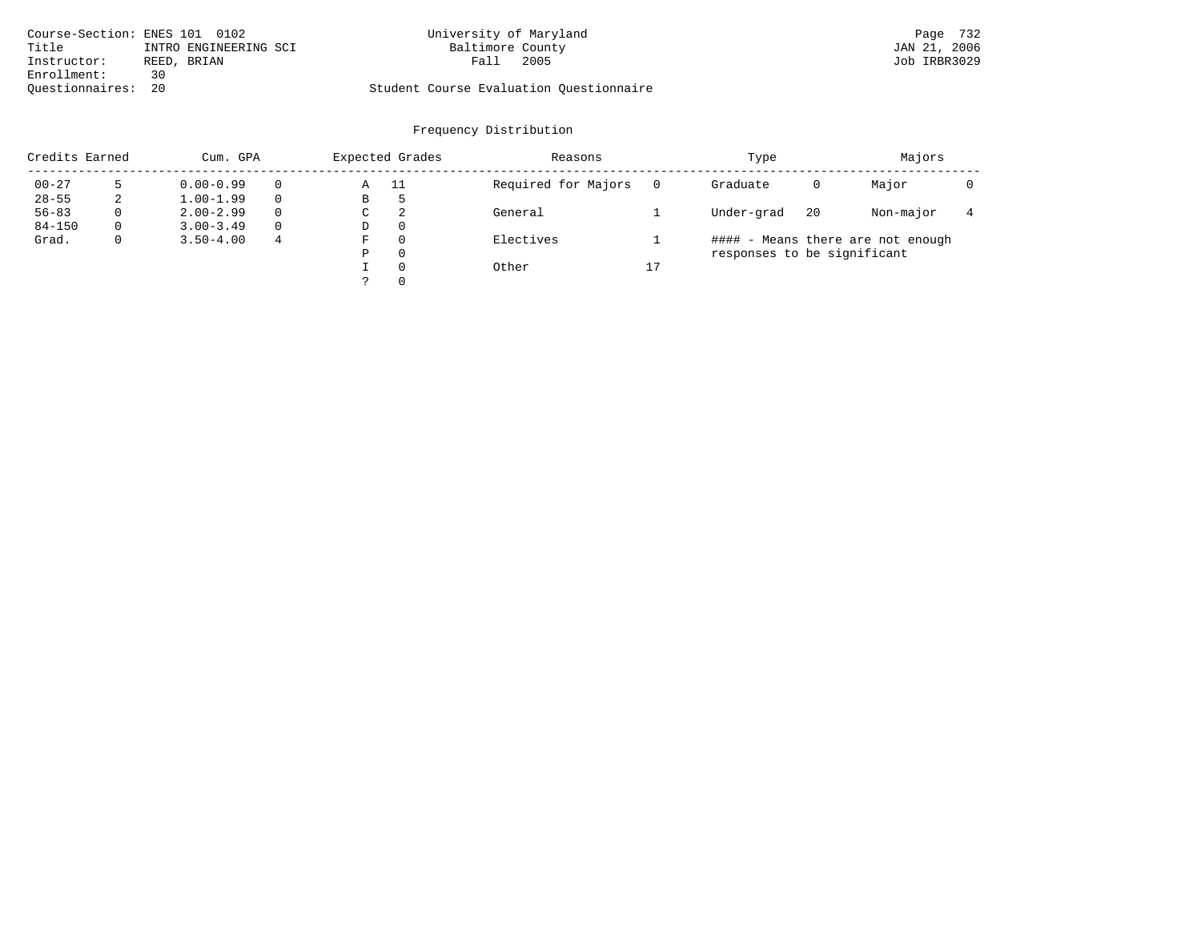| Course-Section: ENES 101 0102  | University of Maryland                  | Page 732     |
|--------------------------------|-----------------------------------------|--------------|
| Title<br>INTRO ENGINEERING SCI | Baltimore County                        | JAN 21, 2006 |
| Instructor:<br>REED, BRIAN     | 2005<br>Fall                            | Job IRBR3029 |
| Enrollment:<br>っい              |                                         |              |
| Ouestionnaires: 20             | Student Course Evaluation Ouestionnaire |              |

| Credits Earned |   |               | Expected Grades<br>Cum. GPA |             | Reasons  |                     | Type | Majors                      |    |                                   |  |
|----------------|---|---------------|-----------------------------|-------------|----------|---------------------|------|-----------------------------|----|-----------------------------------|--|
| $00 - 27$      |   | $0.00 - 0.99$ |                             | Α           | -11      | Required for Majors |      | Graduate                    | 0  | Major                             |  |
| $28 - 55$      | 2 | $1.00 - 1.99$ |                             | В           | ל        |                     |      |                             |    |                                   |  |
| $56 - 83$      | 0 | $2.00 - 2.99$ | 0                           | $\sim$<br>◡ | 2        | General             |      | Under-grad                  | 20 | Non-major                         |  |
| $84 - 150$     | 0 | $3.00 - 3.49$ |                             | D           | 0        |                     |      |                             |    |                                   |  |
| Grad.          | 0 | $3.50 - 4.00$ | 4                           | F           | 0        | Electives           |      |                             |    | #### - Means there are not enough |  |
|                |   |               |                             | Ρ           | 0        |                     |      | responses to be significant |    |                                   |  |
|                |   |               |                             |             | $\Omega$ | Other               | 17   |                             |    |                                   |  |
|                |   |               |                             | っ           | 0        |                     |      |                             |    |                                   |  |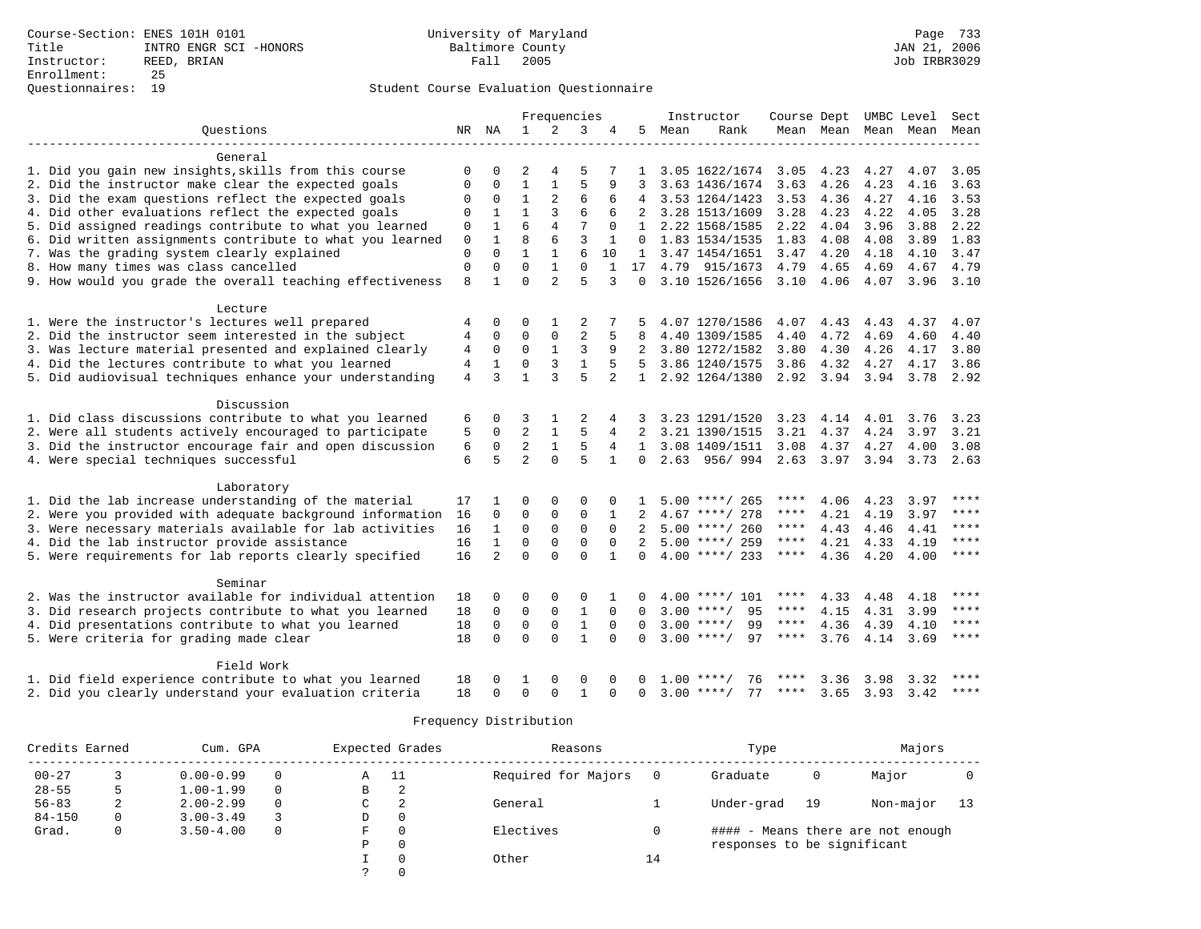|                                                           |                |                |                | Frequencies    |                |              |                |      | Instructor         | Course Dept UMBC Level |                |                   |      | Sect        |
|-----------------------------------------------------------|----------------|----------------|----------------|----------------|----------------|--------------|----------------|------|--------------------|------------------------|----------------|-------------------|------|-------------|
| Questions                                                 |                | NR NA          | $\mathbf{1}$   | 2              | 3              | 4            | 5.             | Mean | Rank               |                        | Mean Mean Mean |                   | Mean | Mean        |
|                                                           |                |                |                |                |                |              |                |      |                    |                        |                |                   |      |             |
| General                                                   |                |                |                |                |                |              |                |      |                    |                        |                |                   |      |             |
| 1. Did you gain new insights, skills from this course     | 0              | $\Omega$       | $\overline{2}$ | 4              | 5              |              | 1              |      | 3.05 1622/1674     | 3.05                   | 4.23           | 4.27              | 4.07 | 3.05        |
| 2. Did the instructor make clear the expected goals       | $\Omega$       | $\Omega$       | $\mathbf{1}$   | $\mathbf{1}$   | 5              | 9            | 3              |      | 3.63 1436/1674     | 3.63                   | 4.26           | 4.23              | 4.16 | 3.63        |
| 3. Did the exam questions reflect the expected goals      | 0              | 0              | $\mathbf{1}$   | 2              | 6              | 6            |                |      | 3.53 1264/1423     | 3.53                   | 4.36           | 4.27              | 4.16 | 3.53        |
| 4. Did other evaluations reflect the expected goals       | 0              | $\mathbf{1}$   | $\mathbf{1}$   | 3              | 6              | 6            |                |      | 3.28 1513/1609     | 3.28                   | 4.23           | 4.22              | 4.05 | 3.28        |
| 5. Did assigned readings contribute to what you learned   | $\mathbf{0}$   | $\mathbf{1}$   | 6              | $\overline{4}$ | 7              | $\Omega$     | 1              |      | 2.22 1568/1585     | 2.22                   | 4.04           | 3.96              | 3.88 | 2.22        |
| 6. Did written assignments contribute to what you learned | $\mathbf 0$    | $\mathbf 1$    | 8              | 6              | $\overline{3}$ | 1            | $\mathbf{0}$   |      | 1.83 1534/1535     | 1.83                   | 4.08           | 4.08              | 3.89 | 1.83        |
| 7. Was the grading system clearly explained               | $\mathbf 0$    | $\Omega$       | $\mathbf{1}$   | $\mathbf{1}$   | 6              | 10           | $\mathbf{1}$   |      | 3.47 1454/1651     | 3.47                   | 4.20           | 4.18              | 4.10 | 3.47        |
| 8. How many times was class cancelled                     | $\mathbf 0$    | $\mathbf 0$    | $\Omega$       | $\mathbf{1}$   | $\Omega$       | $\mathbf{1}$ | 17             |      | 4.79 915/1673      | 4.79                   | 4.65           | 4.69              | 4.67 | 4.79        |
| 9. How would you grade the overall teaching effectiveness | 8              | $\mathbf{1}$   | $\Omega$       | $\mathfrak{D}$ | 5              | 3            | 0              |      | 3.10 1526/1656     | 3.10                   | 4.06           | 4.07              | 3.96 | 3.10        |
|                                                           |                |                |                |                |                |              |                |      |                    |                        |                |                   |      |             |
| Lecture                                                   |                |                |                |                |                |              |                |      |                    |                        |                |                   |      |             |
| 1. Were the instructor's lectures well prepared           |                | 0              | 0              | 1              | 2              |              |                |      | 4.07 1270/1586     | 4.07                   | 4.43           | 4.43              | 4.37 | 4.07        |
| 2. Did the instructor seem interested in the subject      | 4              | 0              | $\mathbf 0$    | $\mathbf 0$    | 2              | 5            | 8              |      | 4.40 1309/1585     | 4.40                   | 4.72           | 4.69              | 4.60 | 4.40        |
| 3. Was lecture material presented and explained clearly   | 4              | $\mathbf 0$    | $\Omega$       | $\mathbf{1}$   | 3              | 9            | 2              |      | 3.80 1272/1582     | 3.80                   | 4.30           | 4.26              | 4.17 | 3.80        |
| 4. Did the lectures contribute to what you learned        | 4              | $\mathbf{1}$   | 0              | 3              | $1\,$          | 5            | 5              |      | 3.86 1240/1575     | 3.86                   | 4.32           | 4.27              | 4.17 | 3.86        |
| 5. Did audiovisual techniques enhance your understanding  | $\overline{4}$ | 3              | $\mathbf{1}$   | 3              | 5              | 2            | $\mathbf{1}$   |      | 2.92 1264/1380     | 2.92 3.94              |                | 3.94              | 3.78 | 2.92        |
|                                                           |                |                |                |                |                |              |                |      |                    |                        |                |                   |      |             |
| Discussion                                                |                |                |                |                |                |              |                |      |                    |                        |                |                   |      |             |
| 1. Did class discussions contribute to what you learned   | 6              | 0              | 3              | 1              | 2              |              | 3              |      | 3.23 1291/1520     | 3.23                   | 4.14           | 4.01              | 3.76 | 3.23        |
| 2. Were all students actively encouraged to participate   | 5              | $\Omega$       | $\overline{a}$ | $\mathbf{1}$   | 5              | 4            | $\overline{2}$ |      | 3.21 1390/1515     | 3.21                   | 4.37           | 4.24              | 3.97 | 3.21        |
| 3. Did the instructor encourage fair and open discussion  | 6              | $\mathbf 0$    | $\overline{2}$ | $\mathbf{1}$   | 5              | 4            | $\mathbf{1}$   |      | 3.08 1409/1511     | 3.08                   | 4.37           | 4.27              | 4.00 | 3.08        |
| 4. Were special techniques successful                     | 6              | 5              | $\mathfrak{D}$ | $\Omega$       | 5              | $\mathbf{1}$ | $\Omega$       |      | 2.63 956/994       |                        | $2.63$ $3.97$  | 3.94              | 3.73 | 2.63        |
|                                                           |                |                |                |                |                |              |                |      |                    |                        |                |                   |      |             |
| Laboratory                                                |                |                |                |                |                |              |                |      |                    |                        |                |                   |      |             |
| 1. Did the lab increase understanding of the material     | 17             |                | 0              | 0              | 0              | $\Omega$     |                |      | $5.00$ ****/ 265   | ****                   | 4.06           | 4.23              | 3.97 | ****        |
| 2. Were you provided with adequate background information | 16             | $\Omega$       | $\Omega$       | $\mathbf 0$    | $\mathbf{0}$   | $\mathbf{1}$ |                |      | $4.67$ ****/ 278   | ****                   | 4.21           | 4.19              | 3.97 | $***$       |
| 3. Were necessary materials available for lab activities  | 16             | $\mathbf{1}$   | $\mathbf 0$    | $\mathbf 0$    | $\mathsf 0$    | $\Omega$     |                |      | $5.00$ ****/ 260   | ****                   | 4.43           | 4.46              | 4.41 | ****        |
| 4. Did the lab instructor provide assistance              | 16             | $\mathbf{1}$   | $\Omega$       | $\Omega$       | $\Omega$       | $\Omega$     | $\mathfrak{D}$ |      | $5.00$ ****/ 259   | ****                   | 4.21           | 4.33              | 4.19 | $***$       |
| 5. Were requirements for lab reports clearly specified    | 16             | $\overline{a}$ | $\Omega$       | $\Omega$       | $\Omega$       | $\mathbf{1}$ | $\Omega$       |      | $4.00$ ****/ 233   | ****                   | 4.36           | 4.20              | 4.00 | ****        |
|                                                           |                |                |                |                |                |              |                |      |                    |                        |                |                   |      |             |
| Seminar                                                   |                |                |                |                |                |              |                |      |                    |                        |                |                   |      |             |
| 2. Was the instructor available for individual attention  |                | $\Omega$       | 0              | $\Omega$       | 0              |              | 0              |      | $4.00$ ****/ 101   | ****                   |                |                   |      | ****        |
|                                                           | 18<br>18       |                |                |                |                | $\Omega$     |                |      | $3.00$ ****/       | ****                   | 4.33           | 4.48              | 4.18 | ****        |
| 3. Did research projects contribute to what you learned   |                | 0              | 0              | $\mathsf 0$    | $\mathbf{1}$   |              | $\Omega$       |      | 95                 |                        | 4.15           | 4.31              | 3.99 | $***$       |
| 4. Did presentations contribute to what you learned       | 18             | $\mathbf 0$    | $\mathbf 0$    | $\mathbf{0}$   | $\mathbf{1}$   | $\Omega$     | $\Omega$       |      | $3.00$ ****/<br>99 | ****                   | 4.36           | 4.39              | 4.10 | $* * * * *$ |
| 5. Were criteria for grading made clear                   | 18             | $\Omega$       | $\Omega$       | $\Omega$       | $\mathbf{1}$   | $\Omega$     | $\Omega$       |      | $3.00$ ****/<br>97 | $***$ * * *            | 3.76           | 4.14              | 3.69 |             |
|                                                           |                |                |                |                |                |              |                |      |                    |                        |                |                   |      |             |
| Field Work                                                |                |                |                |                |                |              |                |      |                    |                        |                |                   |      | ****        |
| 1. Did field experience contribute to what you learned    | 18             | O              | 1              | $\Omega$       | $\Omega$       | 0            | 0              | 1.00 | 76<br>$***$ /      |                        | 3.36           | 3.98              | 3.32 | $***$ * * * |
| 2. Did you clearly understand your evaluation criteria    | 18             | $\Omega$       | $\Omega$       | $\Omega$       | $\mathbf{1}$   | U            | $\Omega$       |      | 77<br>$3.00$ ****/ | ****                   | 3.65           | $3.93 \quad 3.42$ |      |             |

| Credits Earned |   | Cum. GPA      |          |   | Expected Grades | Reasons             |    | Type                        |    |                                   |    |  |
|----------------|---|---------------|----------|---|-----------------|---------------------|----|-----------------------------|----|-----------------------------------|----|--|
| $00 - 27$      |   | $0.00 - 0.99$ |          | Α | - 11            | Required for Majors |    | Graduate                    | 0  | Major                             |    |  |
| $28 - 55$      | ל | $1.00 - 1.99$ | $\Omega$ | В | 2               |                     |    |                             |    |                                   |    |  |
| $56 - 83$      | 2 | $2.00 - 2.99$ | $\Omega$ | C | -2              | General             |    | Under-grad                  | 19 | Non-major                         | 13 |  |
| $84 - 150$     |   | $3.00 - 3.49$ |          | D | $\Omega$        |                     |    |                             |    |                                   |    |  |
| Grad.          | 0 | $3.50 - 4.00$ | $\Omega$ | F | $\Omega$        | Electives           |    |                             |    | #### - Means there are not enough |    |  |
|                |   |               |          | P | $\Omega$        |                     |    | responses to be significant |    |                                   |    |  |
|                |   |               |          |   | $\Omega$        | Other               | 14 |                             |    |                                   |    |  |
|                |   |               |          |   |                 |                     |    |                             |    |                                   |    |  |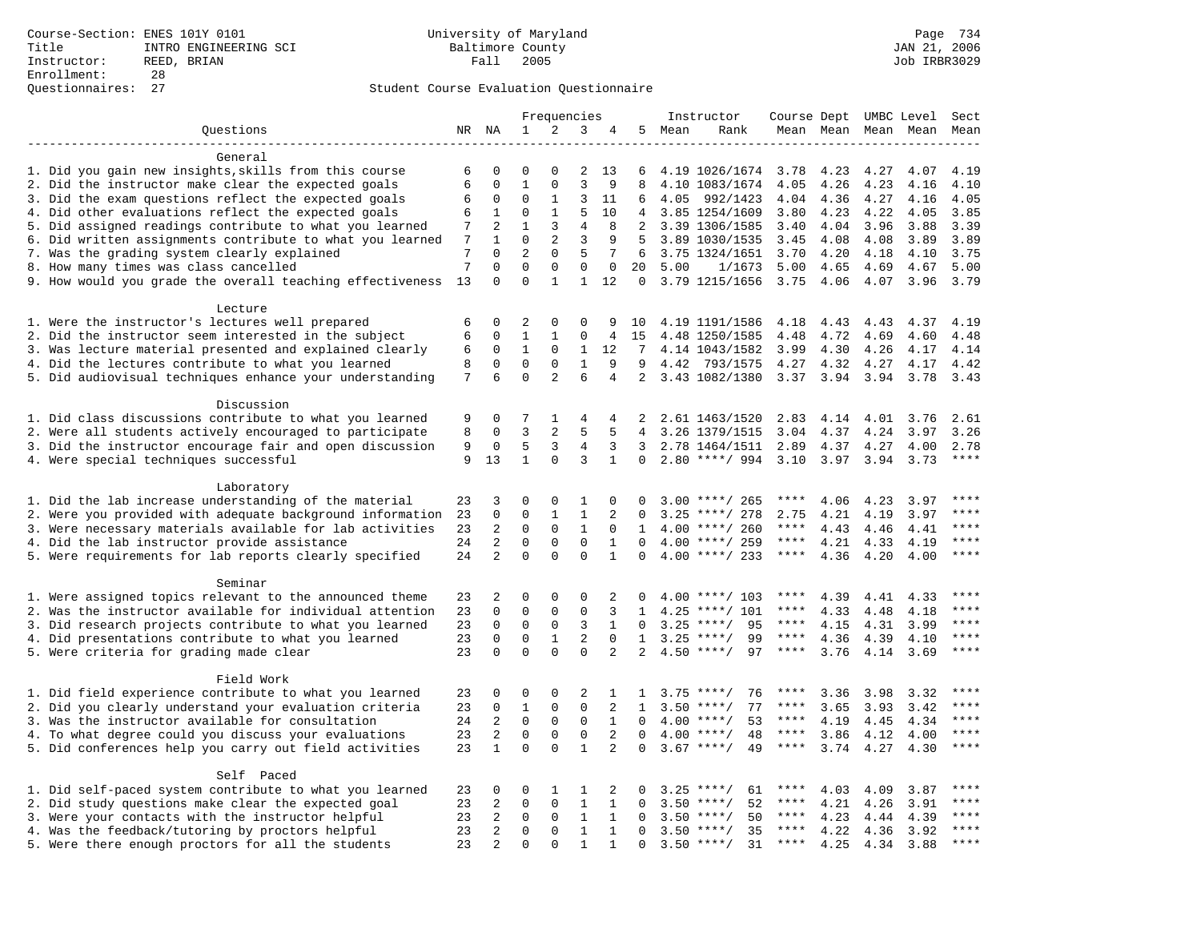|                                                           |                |                         |                                |                            | Frequencies      |                   |                |      | Instructor         | Course Dept UMBC Level |           |                     |      | Sect         |
|-----------------------------------------------------------|----------------|-------------------------|--------------------------------|----------------------------|------------------|-------------------|----------------|------|--------------------|------------------------|-----------|---------------------|------|--------------|
| Questions                                                 |                | NR NA                   | $\mathbf 1$                    | 2                          | 3                | 4                 | 5              | Mean | Rank               |                        |           | Mean Mean Mean Mean |      | Mean         |
|                                                           |                |                         |                                |                            |                  |                   |                |      |                    |                        |           |                     |      |              |
| General                                                   |                |                         |                                |                            |                  |                   |                |      |                    |                        |           |                     |      |              |
| 1. Did you gain new insights, skills from this course     | 6              | 0                       | $\mathbf 0$                    | $\Omega$                   | 2                | 13                | 6              |      | 4.19 1026/1674     | 3.78                   | 4.23      | 4.27                | 4.07 | 4.19         |
| 2. Did the instructor make clear the expected goals       | 6              | $\mathbf 0$             | $\mathbf{1}$                   | $\mathbf 0$                | 3                | 9                 | 8              |      | 4.10 1083/1674     | 4.05                   | 4.26      | 4.23                | 4.16 | 4.10         |
| 3. Did the exam questions reflect the expected goals      | 6              | 0                       | $\Omega$                       | 1                          | 3                | 11                | 6              | 4.05 | 992/1423           | 4.04                   | 4.36      | 4.27                | 4.16 | 4.05         |
| 4. Did other evaluations reflect the expected goals       | 6              | 1                       | $\Omega$                       | $\mathbf{1}$               | 5                | 10                | $\overline{4}$ |      | 3.85 1254/1609     | 3.80                   | 4.23      | 4.22                | 4.05 | 3.85         |
| 5. Did assigned readings contribute to what you learned   | 7              | 2                       | $\mathbf{1}$                   | 3                          | $\overline{4}$   | 8                 | 2              |      | 3.39 1306/1585     | 3.40                   | 4.04      | 3.96                | 3.88 | 3.39         |
| 6. Did written assignments contribute to what you learned | 7              | $\mathbf{1}$            | $\mathbf 0$                    | $\mathbf{2}$               | 3                | 9                 | 5              |      | 3.89 1030/1535     | 3.45                   | 4.08      | 4.08                | 3.89 | 3.89         |
| 7. Was the grading system clearly explained               | 7<br>7         | $\Omega$<br>$\mathbf 0$ | $\overline{2}$<br>$\mathbf{0}$ | $\mathbf 0$<br>$\mathbf 0$ | 5<br>$\mathbf 0$ | 7                 | 6              |      | 3.75 1324/1651     | 3.70                   | 4.20      | 4.18                | 4.10 | 3.75         |
| 8. How many times was class cancelled                     |                | $\Omega$                | $\Omega$                       | $\mathbf{1}$               | $\mathbf{1}$     | $\mathbf 0$<br>12 | 20<br>$\Omega$ | 5.00 | 1/1673             | 5.00                   | 4.65      | 4.69                | 4.67 | 5.00<br>3.79 |
| 9. How would you grade the overall teaching effectiveness | 13             |                         |                                |                            |                  |                   |                |      | 3.79 1215/1656     | 3.75                   | 4.06      | 4.07                | 3.96 |              |
| Lecture                                                   |                |                         |                                |                            |                  |                   |                |      |                    |                        |           |                     |      |              |
| 1. Were the instructor's lectures well prepared           | 6              | $\Omega$                | 2                              | $\Omega$                   | $\Omega$         | 9                 | 10             |      | 4.19 1191/1586     | 4.18                   | 4.43      | 4.43                | 4.37 | 4.19         |
| 2. Did the instructor seem interested in the subject      | 6              | $\mathbf 0$             | $\mathbf 1$                    | 1                          | $\mathsf 0$      | 4                 | 15             |      | 4.48 1250/1585     | 4.48                   | 4.72      | 4.69                | 4.60 | 4.48         |
| 3. Was lecture material presented and explained clearly   | 6              | 0                       | $\mathbf{1}$                   | 0                          | 1                | 12                | 7              |      | 4.14 1043/1582     | 3.99                   | 4.30      | 4.26                | 4.17 | 4.14         |
| 4. Did the lectures contribute to what you learned        | 8              | $\mathbf 0$             | $\mathbf{0}$                   | $\Omega$                   | $\mathbf{1}$     | 9                 | 9              | 4.42 | 793/1575           | 4.27                   | 4.32      | 4.27                | 4.17 | 4.42         |
| 5. Did audiovisual techniques enhance your understanding  | $\overline{7}$ | 6                       | $\Omega$                       | 2                          | 6                | 4                 | 2              |      | 3.43 1082/1380     | 3.37                   | 3.94      | 3.94                | 3.78 | 3.43         |
|                                                           |                |                         |                                |                            |                  |                   |                |      |                    |                        |           |                     |      |              |
| Discussion                                                |                |                         |                                |                            |                  |                   |                |      |                    |                        |           |                     |      |              |
| 1. Did class discussions contribute to what you learned   | 9              | 0                       | 7                              | 1                          | 4                | 4                 | 2              |      | 2.61 1463/1520     | 2.83                   | 4.14      | 4.01                | 3.76 | 2.61         |
| 2. Were all students actively encouraged to participate   | 8              | $\Omega$                | 3                              | $\overline{a}$             | 5                | 5                 | 4              |      | 3.26 1379/1515     | 3.04                   | 4.37      | 4.24                | 3.97 | 3.26         |
| 3. Did the instructor encourage fair and open discussion  | 9              | $\mathbf 0$             | 5                              | 3                          | $\overline{4}$   | 3                 | 3              |      | 2.78 1464/1511     | 2.89                   | 4.37      | 4.27                | 4.00 | 2.78         |
| 4. Were special techniques successful                     | 9              | 13                      | $\mathbf{1}$                   | $\mathbf 0$                | 3                | $\mathbf{1}$      | 0              |      | $2.80$ ****/ 994   | 3.10                   | 3.97 3.94 |                     | 3.73 | $***$        |
|                                                           |                |                         |                                |                            |                  |                   |                |      |                    |                        |           |                     |      |              |
| Laboratory                                                |                |                         |                                |                            |                  |                   |                |      |                    |                        |           |                     |      |              |
| 1. Did the lab increase understanding of the material     | 23             | 3                       | $\mathbf 0$                    | $\mathbf 0$                | 1                | $\mathbf 0$       | $\Omega$       |      | $3.00$ ****/ 265   | ****                   | 4.06      | 4.23                | 3.97 |              |
| 2. Were you provided with adequate background information | 23             | 0                       | $\mathbf 0$                    | 1                          | 1                | 2                 | $\Omega$       | 3.25 | ****/ 278          | 2.75                   | 4.21      | 4.19                | 3.97 | ****         |
| 3. Were necessary materials available for lab activities  | 23             | 2                       | $\mathbf 0$                    | $\Omega$                   | $\mathbf{1}$     | $\Omega$          | $\mathbf{1}$   |      | $4.00$ ****/ 260   | $***$ * *              | 4.43      | 4.46                | 4.41 | ****         |
| 4. Did the lab instructor provide assistance              | 24             | $\overline{\mathbf{c}}$ | $\Omega$                       | $\Omega$                   | $\Omega$         | $\mathbf{1}$      | $\Omega$       |      | $4.00$ ****/ 259   | $***$ * *              | 4.21      | 4.33                | 4.19 | $***$        |
| 5. Were requirements for lab reports clearly specified    | 24             | $\overline{2}$          | $\mathbf 0$                    | $\mathbf 0$                | $\mathbf 0$      | $\mathbf{1}$      | $\Omega$       |      | $4.00$ ****/ 233   | $***$ * * *            | 4.36      | 4.20                | 4.00 | $***$        |
| Seminar                                                   |                |                         |                                |                            |                  |                   |                |      |                    |                        |           |                     |      |              |
| 1. Were assigned topics relevant to the announced theme   | 23             | 2                       | $\mathbf 0$                    | $\Omega$                   | $\Omega$         | 2                 | $\Omega$       |      | $4.00$ ****/ 103   | ****                   | 4.39      | 4.41                | 4.33 | $***$        |
| 2. Was the instructor available for individual attention  | 23             | $\mathbf 0$             | $\mathbf 0$                    | $\mathbf 0$                | $\mathbf{0}$     | 3                 | 1              |      | $4.25$ ****/ 101   | ****                   | 4.33      | 4.48                | 4.18 | ****         |
| 3. Did research projects contribute to what you learned   | 23             | $\mathbf 0$             | $\mathbf{0}$                   | $\mathbf 0$                | 3                | $\mathbf{1}$      | $\Omega$       |      | 95<br>$3.25$ ****/ | ****                   | 4.15      | 4.31                | 3.99 | ****         |
| 4. Did presentations contribute to what you learned       | 23             | $\mathbf 0$             | $\mathbf 0$                    | $\mathbf{1}$               | 2                | $\Omega$          | $\mathbf{1}$   | 3.25 | $***/$<br>99       | $***$ * * *            | 4.36      | 4.39                | 4.10 | $***$        |
| 5. Were criteria for grading made clear                   | 23             | $\Omega$                | $\Omega$                       | $\Omega$                   | $\Omega$         | 2                 | 2              |      | $4.50$ ****/<br>97 | ****                   | 3.76      | 4.14                | 3.69 | ****         |
|                                                           |                |                         |                                |                            |                  |                   |                |      |                    |                        |           |                     |      |              |
| Field Work                                                |                |                         |                                |                            |                  |                   |                |      |                    |                        |           |                     |      |              |
| 1. Did field experience contribute to what you learned    | 23             | 0                       | 0                              | $\mathbf 0$                | 2                | 1                 | 1              |      | 76<br>$3.75$ ****/ | ****                   | 3.36      | 3.98                | 3.32 | ****         |
| 2. Did you clearly understand your evaluation criteria    | 23             | $\mathbf 0$             | $\mathbf{1}$                   | $\Omega$                   | $\Omega$         | 2                 | $\mathbf{1}$   | 3.50 | $***$ /<br>77      | ****                   | 3.65      | 3.93                | 3.42 | $***$ * * *  |
| 3. Was the instructor available for consultation          | 24             | 2                       | $\mathbf 0$                    | $\mathbf 0$                | $\mathbf 0$      | $\mathbf{1}$      | $\Omega$       |      | $4.00$ ****/<br>53 | ****                   | 4.19      | 4.45                | 4.34 | ****         |
| 4. To what degree could you discuss your evaluations      | 23             | 2                       | $\mathbf 0$                    | $\mathbf 0$                | $\mathbf 0$      | 2                 | $\Omega$       | 4.00 | $***/$<br>48       | $***$ * * *            | 3.86      | 4.12                | 4.00 | ****         |
| 5. Did conferences help you carry out field activities    | 23             | $\mathbf{1}$            | $\Omega$                       | $\Omega$                   | $\mathbf{1}$     | $\overline{2}$    | $\Omega$       |      | $3.67$ ****/<br>49 | $***$ * * *            | 3.74      | 4.27                | 4.30 | ****         |
|                                                           |                |                         |                                |                            |                  |                   |                |      |                    |                        |           |                     |      |              |
| Self Paced                                                |                |                         |                                |                            |                  |                   |                |      |                    |                        |           |                     |      |              |
| 1. Did self-paced system contribute to what you learned   | 23             | 0                       | $\mathbf 0$                    | 1                          | 1                | 2                 | 0              |      | $3.25$ ****/<br>61 |                        | 4.03      | 4.09                | 3.87 | ****         |
| 2. Did study questions make clear the expected goal       | 23             | 2                       | $\mathbf 0$                    | $\mathbf 0$                | $\mathbf{1}$     | $\mathbf{1}$      | $\mathbf 0$    | 3.50 | 52<br>$***/$       | ****                   | 4.21      | 4.26                | 3.91 | ****         |
| 3. Were your contacts with the instructor helpful         | 23             | 2                       | $\mathbf 0$                    | $\Omega$                   | 1                | $\mathbf 1$       | $\Omega$       | 3.50 | $***/$<br>50       | $***$ * *              | 4.23      | 4.44                | 4.39 | $***$        |
| 4. Was the feedback/tutoring by proctors helpful          | 23             | $\overline{2}$          | $\mathbf 0$                    | $\mathbf 0$                | $\mathbf{1}$     | $\mathbf{1}$      | $\Omega$       |      | 35<br>$3.50$ ****/ | ****                   | 4.22      | 4.36                | 3.92 | $***$        |
| 5. Were there enough proctors for all the students        | 23             | $\overline{2}$          | $\Omega$                       | $\Omega$                   | $\mathbf{1}$     | 1                 | $\Omega$       |      | $3.50$ ****/<br>31 | $***$ * * *            | 4.25      | 4.34                | 3.88 | $***$        |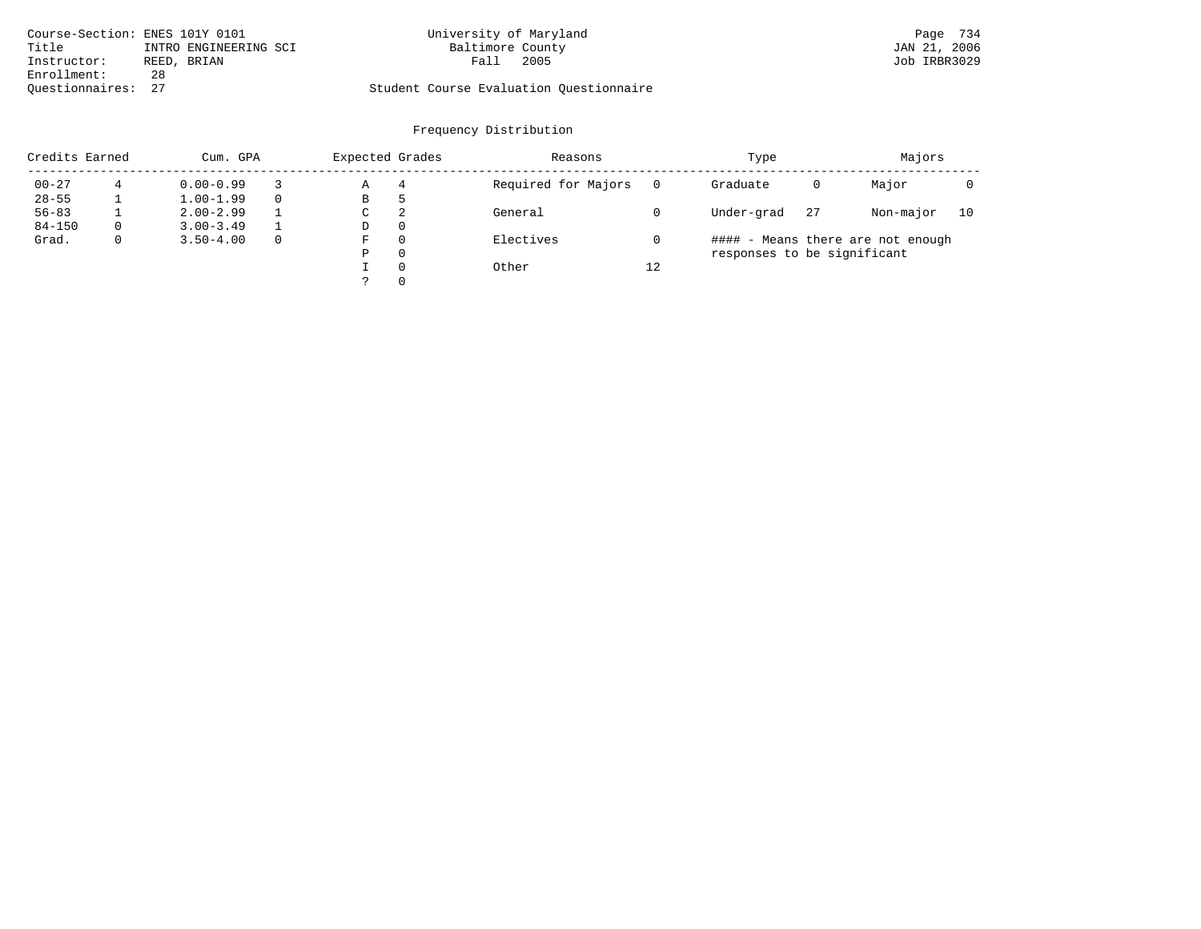| Course-Section: ENES 101Y 0101 |                       | University of Maryland                  |      | Page 734     |
|--------------------------------|-----------------------|-----------------------------------------|------|--------------|
| Title                          | INTRO ENGINEERING SCI | Baltimore County                        |      | JAN 21, 2006 |
| Instructor:                    | REED, BRIAN           | Fall                                    | 2005 | Job IRBR3029 |
| Enrollment:                    | 28                    |                                         |      |              |
| Ouestionnaires: 27             |                       | Student Course Evaluation Questionnaire |      |              |

| Credits Earned |          | Cum. GPA      |              | Expected Grades |   | Reasons             |    | Type                        |    | Majors                            |    |  |
|----------------|----------|---------------|--------------|-----------------|---|---------------------|----|-----------------------------|----|-----------------------------------|----|--|
| $00 - 27$      | 4        | $0.00 - 0.99$ |              | Α               | 4 | Required for Majors |    | Graduate                    | 0  | Major                             |    |  |
| $28 - 55$      |          | $1.00 - 1.99$ | $\Omega$     | В               | ל |                     |    |                             |    |                                   |    |  |
| $56 - 83$      |          | $2.00 - 2.99$ |              | С               | 2 | General             |    | Under-grad                  | 27 | Non-major                         | 10 |  |
| $84 - 150$     | $\Omega$ | $3.00 - 3.49$ |              | D               | 0 |                     |    |                             |    |                                   |    |  |
| Grad.          | 0        | $3.50 - 4.00$ | $\mathbf{0}$ | F               | 0 | Electives           |    |                             |    | #### - Means there are not enough |    |  |
|                |          |               |              | Ρ               | 0 |                     |    | responses to be significant |    |                                   |    |  |
|                |          |               |              |                 | 0 | Other               | 12 |                             |    |                                   |    |  |
|                |          |               |              |                 | 0 |                     |    |                             |    |                                   |    |  |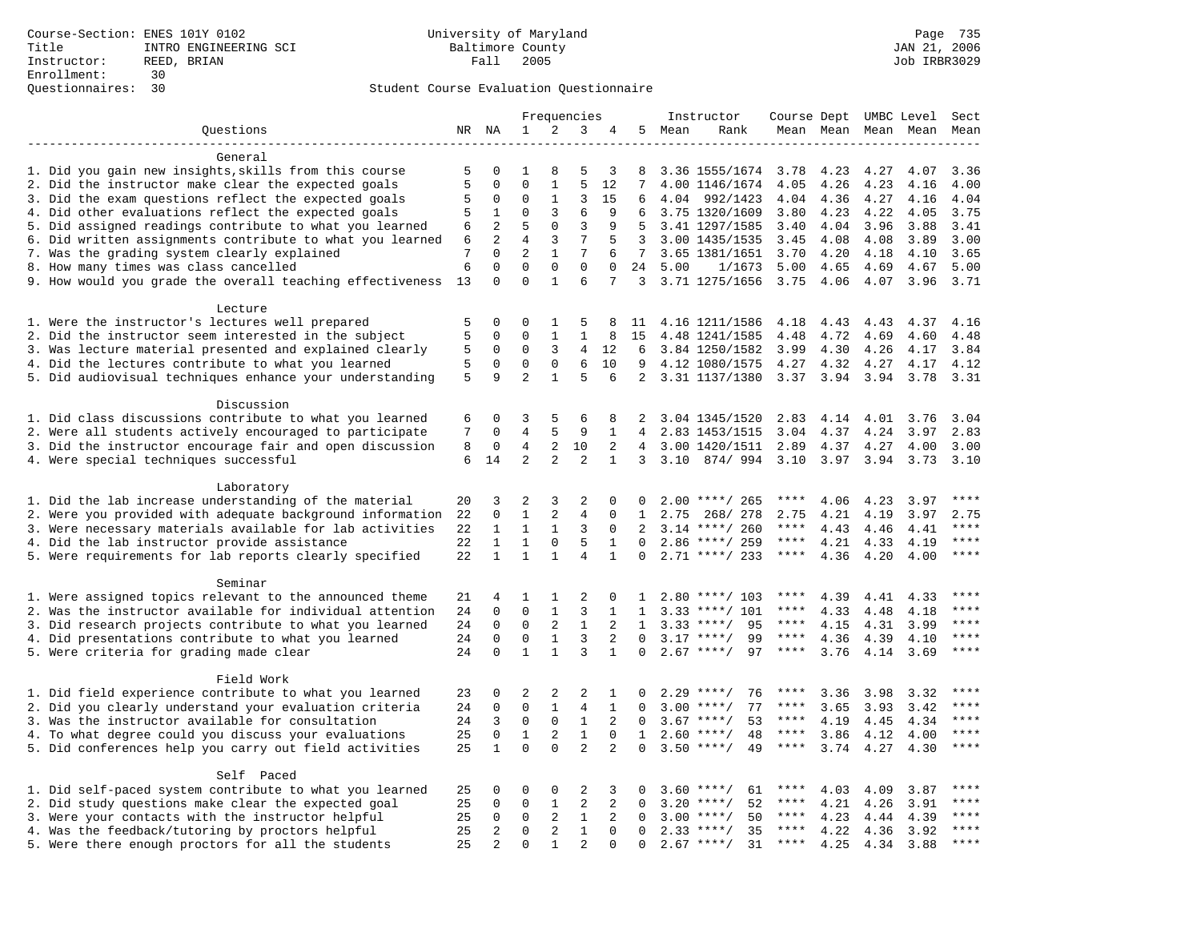|                                                           |    |                         |                               |                             | Frequencies      |                |              |         | Instructor         | Course Dept UMBC Level |      |                     |      | Sect         |
|-----------------------------------------------------------|----|-------------------------|-------------------------------|-----------------------------|------------------|----------------|--------------|---------|--------------------|------------------------|------|---------------------|------|--------------|
| Questions                                                 |    | NR NA                   | 1                             | 2                           | 3                | 4              |              | 5 Mean  | Rank               |                        |      | Mean Mean Mean Mean |      | Mean         |
|                                                           |    |                         |                               |                             |                  |                |              |         |                    |                        |      |                     |      |              |
| General                                                   |    |                         |                               |                             |                  |                |              |         |                    |                        |      |                     |      |              |
| 1. Did you gain new insights, skills from this course     | 5  | 0                       | 1                             | 8                           | 5                | 3              | 8            |         | 3.36 1555/1674     | 3.78                   | 4.23 | 4.27                | 4.07 | 3.36         |
| 2. Did the instructor make clear the expected goals       | 5  | $\mathbf 0$             | $\mathbf 0$                   | $\mathbf{1}$                | 5                | 12             | 7            |         | 4.00 1146/1674     | 4.05                   | 4.26 | 4.23                | 4.16 | 4.00         |
| 3. Did the exam questions reflect the expected goals      | 5  | $\mathbf 0$             | $\Omega$                      | $\mathbf{1}$                | 3                | 15             | 6            |         | 4.04 992/1423      | 4.04                   | 4.36 | 4.27                | 4.16 | 4.04         |
| 4. Did other evaluations reflect the expected goals       | 5  | 1                       | $\Omega$                      | 3                           | 6                | 9              | 6            |         | 3.75 1320/1609     | 3.80                   | 4.23 | 4.22                | 4.05 | 3.75         |
| 5. Did assigned readings contribute to what you learned   | 6  | 2                       | 5                             | $\mathsf 0$                 | 3                | 9              | .5           |         | 3.41 1297/1585     | 3.40                   | 4.04 | 3.96                | 3.88 | 3.41         |
| 6. Did written assignments contribute to what you learned | 6  | 2                       | $\overline{4}$                | 3                           | 7                | 5              | 3            |         | 3.00 1435/1535     | 3.45                   | 4.08 | 4.08                | 3.89 | 3.00         |
| 7. Was the grading system clearly explained               | 7  | $\Omega$<br>$\mathbf 0$ | $\overline{2}$<br>$\mathbf 0$ | $\mathbf{1}$<br>$\mathbf 0$ | 7<br>$\mathbf 0$ | 6              | 7            |         | 3.65 1381/1651     | 3.70                   | 4.20 | 4.18                | 4.10 | 3.65         |
| 8. How many times was class cancelled                     | 6  | $\Omega$                | $\Omega$                      | $\mathbf{1}$                | 6                | 0<br>7         | 24<br>3      | 5.00    | 1/1673             | 5.00                   | 4.65 | 4.69                | 4.67 | 5.00<br>3.71 |
| 9. How would you grade the overall teaching effectiveness | 13 |                         |                               |                             |                  |                |              |         | 3.71 1275/1656     | 3.75                   | 4.06 | 4.07                | 3.96 |              |
| Lecture                                                   |    |                         |                               |                             |                  |                |              |         |                    |                        |      |                     |      |              |
| 1. Were the instructor's lectures well prepared           | 5  | $\Omega$                | $\Omega$                      | 1                           | 5                | 8              | 11           |         | 4.16 1211/1586     | 4.18                   | 4.43 | 4.43                | 4.37 | 4.16         |
| 2. Did the instructor seem interested in the subject      | 5  | $\mathbf 0$             | $\Omega$                      | $\mathbf{1}$                | $\mathbf 1$      | 8              | 15           |         | 4.48 1241/1585     | 4.48                   | 4.72 | 4.69                | 4.60 | 4.48         |
| 3. Was lecture material presented and explained clearly   | 5  | 0                       | 0                             | 3                           | $\overline{4}$   | 12             | 6            |         | 3.84 1250/1582     | 3.99                   | 4.30 | 4.26                | 4.17 | 3.84         |
| 4. Did the lectures contribute to what you learned        | 5  | $\mathbf 0$             | $\mathbf 0$                   | $\mathbf 0$                 | 6                | 10             | 9            |         | 4.12 1080/1575     | 4.27                   | 4.32 | 4.27                | 4.17 | 4.12         |
| 5. Did audiovisual techniques enhance your understanding  | 5  | 9                       | $\overline{a}$                | $\mathbf{1}$                | 5                | 6              | 2            |         | 3.31 1137/1380     | 3.37                   | 3.94 | 3.94                | 3.78 | 3.31         |
|                                                           |    |                         |                               |                             |                  |                |              |         |                    |                        |      |                     |      |              |
| Discussion                                                |    |                         |                               |                             |                  |                |              |         |                    |                        |      |                     |      |              |
| 1. Did class discussions contribute to what you learned   | 6  | $\mathbf 0$             | 3                             | 5                           | 6                | 8              | 2            |         | 3.04 1345/1520     | 2.83                   | 4.14 | 4.01                | 3.76 | 3.04         |
| 2. Were all students actively encouraged to participate   | 7  | $\Omega$                | 4                             | 5                           | 9                | $\mathbf{1}$   | 4            |         | 2.83 1453/1515     | 3.04                   | 4.37 | 4.24                | 3.97 | 2.83         |
| 3. Did the instructor encourage fair and open discussion  | 8  | $\mathbf 0$             | $\overline{4}$                | 2                           | 10               | 2              | 4            |         | 3.00 1420/1511     | 2.89                   | 4.37 | 4.27                | 4.00 | 3.00         |
| 4. Were special techniques successful                     | 6  | 14                      | 2                             | 2                           | 2                | $\mathbf{1}$   |              | 3, 3.10 | 874/994 3.10       |                        | 3.97 | 3.94                | 3.73 | 3.10         |
|                                                           |    |                         |                               |                             |                  |                |              |         |                    |                        |      |                     |      |              |
| Laboratory                                                |    |                         |                               |                             |                  |                |              |         |                    |                        |      |                     |      |              |
| 1. Did the lab increase understanding of the material     | 20 | 3                       | 2                             | 3                           | 2                | 0              | $\Omega$     |         | $2.00$ ****/ 265   | ****                   | 4.06 | 4.23                | 3.97 | ****         |
| 2. Were you provided with adequate background information | 22 | $\mathbf 0$             | $\mathbf{1}$                  | 2                           | $\overline{4}$   | 0              | 1            | 2.75    | 268/ 278           | 2.75                   | 4.21 | 4.19                | 3.97 | 2.75         |
| 3. Were necessary materials available for lab activities  | 22 | $\mathbf{1}$            | $\mathbf{1}$                  | 1                           | 3                | $\Omega$       | 2            |         | $3.14$ ****/ 260   | $***$ * *              | 4.43 | 4.46                | 4.41 | $***$        |
| 4. Did the lab instructor provide assistance              | 22 | $\mathbf{1}$            | $\mathbf{1}$                  | $\Omega$                    | 5                | $\mathbf{1}$   | $\Omega$     |         | $2.86$ ****/ 259   | $***$ * *              | 4.21 | 4.33                | 4.19 | $***$        |
| 5. Were requirements for lab reports clearly specified    | 22 | $\mathbf{1}$            | $\mathbf{1}$                  | $\mathbf{1}$                | $\overline{4}$   | $\mathbf{1}$   | $\mathbf 0$  |         | $2.71$ ****/ 233   | $***$ * * *            | 4.36 | 4.20                | 4.00 | $***$        |
| Seminar                                                   |    |                         |                               |                             |                  |                |              |         |                    |                        |      |                     |      |              |
| 1. Were assigned topics relevant to the announced theme   | 21 | 4                       | 1                             | 1                           | 2                | $\Omega$       | -1.          |         | $2.80$ ****/ 103   | ****                   | 4.39 | 4.41                | 4.33 | $***$        |
| 2. Was the instructor available for individual attention  | 24 | $\mathbf 0$             | $\mathbf 0$                   | $\mathbf{1}$                | 3                | $\mathbf{1}$   | 1            |         | $3.33$ ****/ 101   | ****                   | 4.33 | 4.48                | 4.18 | ****         |
| 3. Did research projects contribute to what you learned   | 24 | $\mathbf 0$             | $\mathbf 0$                   | 2                           | $\mathbf{1}$     | 2              | $\mathbf{1}$ |         | $3.33$ ****/<br>95 | $***$ * *              | 4.15 | 4.31                | 3.99 | ****         |
| 4. Did presentations contribute to what you learned       | 24 | $\Omega$                | $\mathbf 0$                   | $\mathbf{1}$                | 3                | 2              | $\Omega$     | 3.17    | $***/$<br>99       | $***$ * * *            | 4.36 | 4.39                | 4.10 | $***$        |
| 5. Were criteria for grading made clear                   | 24 | $\Omega$                | $\mathbf{1}$                  | $\mathbf{1}$                | $\mathbf{3}$     | $\mathbf{1}$   | $\Omega$     |         | $2.67$ ****/<br>97 | $***$ * *              | 3.76 | 4.14                | 3.69 | ****         |
|                                                           |    |                         |                               |                             |                  |                |              |         |                    |                        |      |                     |      |              |
| Field Work                                                |    |                         |                               |                             |                  |                |              |         |                    |                        |      |                     |      |              |
| 1. Did field experience contribute to what you learned    | 23 | $\mathbf 0$             | 2                             | 2                           | 2                | 1              | 0            |         | 76<br>$2.29$ ****/ | ****                   | 3.36 | 3.98                | 3.32 | ****         |
| 2. Did you clearly understand your evaluation criteria    | 24 | $\mathbf 0$             | $\mathbf 0$                   | $\mathbf{1}$                | 4                | $\mathbf{1}$   | $\Omega$     | 3.00    | $***$ /<br>77      | ****                   | 3.65 | 3.93                | 3.42 | $***$        |
| 3. Was the instructor available for consultation          | 24 | 3                       | $\mathbf 0$                   | $\mathbf 0$                 | $\mathbf{1}$     | 2              | $\Omega$     |         | $3.67$ ****/<br>53 | ****                   | 4.19 | 4.45                | 4.34 | ****         |
| 4. To what degree could you discuss your evaluations      | 25 | $\mathbf 0$             | $\mathbf{1}$                  | 2                           | $\mathbf{1}$     | $\mathbf{0}$   | $\mathbf{1}$ | 2.60    | 48<br>$***$ /      | $***$ * * *            | 3.86 | 4.12                | 4.00 | ****         |
| 5. Did conferences help you carry out field activities    | 25 | $\mathbf{1}$            | $\Omega$                      | $\Omega$                    | $\overline{2}$   | $\overline{2}$ | $\Omega$     |         | $3.50$ ****/<br>49 | $***$ * * *            | 3.74 | 4.27                | 4.30 | ****         |
|                                                           |    |                         |                               |                             |                  |                |              |         |                    |                        |      |                     |      |              |
| Self Paced                                                |    |                         |                               |                             |                  |                |              |         |                    |                        |      |                     |      |              |
| 1. Did self-paced system contribute to what you learned   | 25 | 0                       | 0                             | 0                           | $\overline{2}$   | 3              | 0            |         | $3.60$ ****/<br>61 |                        | 4.03 | 4.09                | 3.87 | $***$ * * *  |
| 2. Did study questions make clear the expected goal       | 25 | $\mathbf 0$             | $\mathbf 0$                   | $\mathbf{1}$                | 2                | 2              | 0            | 3.20    | $***/$<br>52       | ****                   | 4.21 | 4.26                | 3.91 | ****         |
| 3. Were your contacts with the instructor helpful         | 25 | $\Omega$                | $\mathbf 0$                   | 2                           | 1                | 2              | $\Omega$     | 3.00    | $***$ /<br>50      | $***$ * *              | 4.23 | 4.44                | 4.39 | $***$ * * *  |
| 4. Was the feedback/tutoring by proctors helpful          | 25 | 2                       | $\mathbf 0$                   | 2                           | $\mathbf{1}$     | $\Omega$       | $\Omega$     |         | 35<br>$2.33$ ****/ | ****                   | 4.22 | 4.36                | 3.92 | $***$        |
| 5. Were there enough proctors for all the students        | 25 | $\overline{2}$          | $\Omega$                      | $\mathbf{1}$                | $\overline{2}$   | $\Omega$       | $\Omega$     |         | $2.67$ ****/<br>31 | $***$ * *              | 4.25 | 4.34                | 3.88 | $***$        |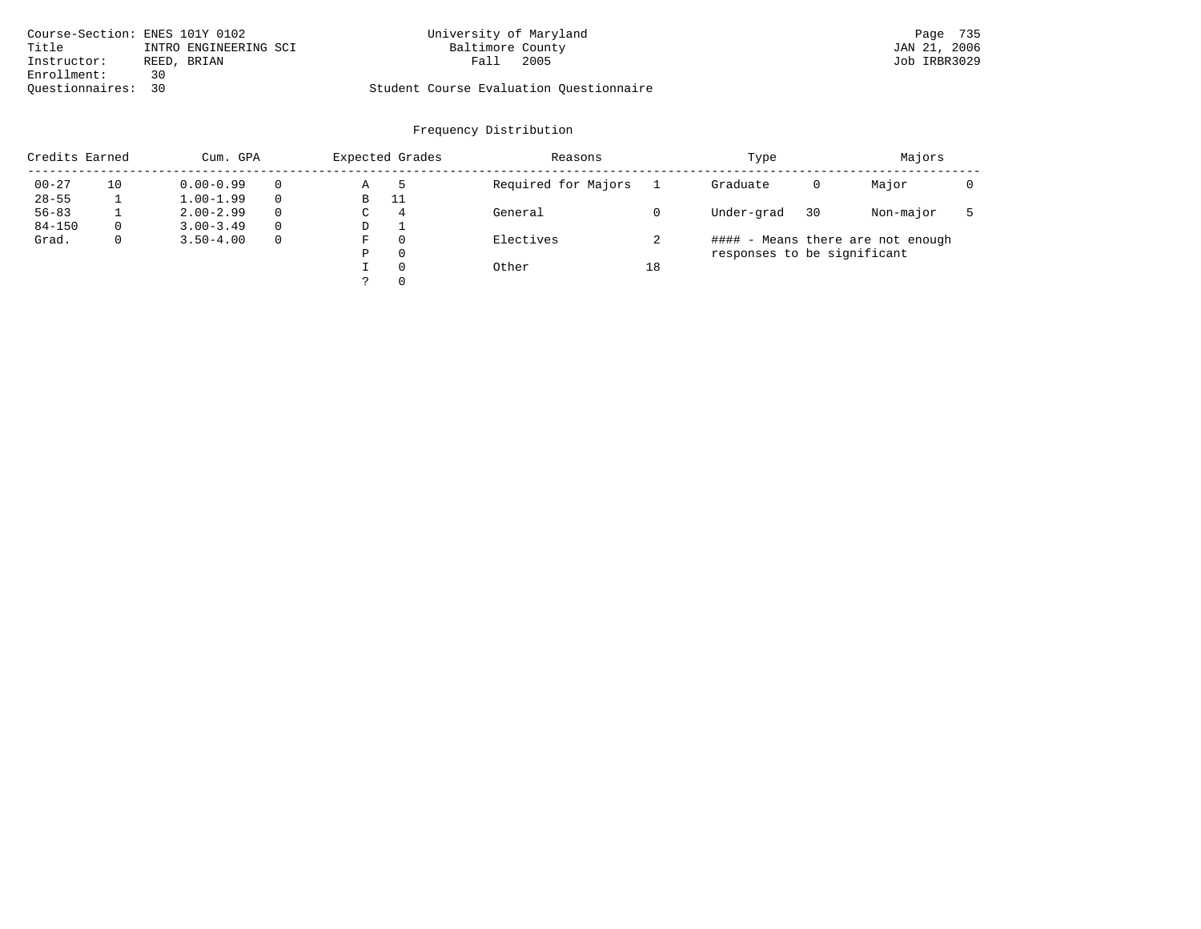|                    | Course-Section: ENES 101Y 0102 | University of Maryland                  | Page 735     |
|--------------------|--------------------------------|-----------------------------------------|--------------|
| Title              | INTRO ENGINEERING SCI          | Baltimore County                        | JAN 21, 2006 |
| Instructor:        | REED, BRIAN                    | 2005<br>Fall                            | Job IRBR3029 |
| Enrollment:        | 30                             |                                         |              |
| Ouestionnaires: 30 |                                | Student Course Evaluation Questionnaire |              |

|                        | Credits Earned<br>Cum. GPA |                                |                      |        | Expected Grades      | Reasons             |    | Type                        |    | Majors                            |  |
|------------------------|----------------------------|--------------------------------|----------------------|--------|----------------------|---------------------|----|-----------------------------|----|-----------------------------------|--|
| $00 - 27$<br>$28 - 55$ | 10                         | $0.00 - 0.99$<br>$1.00 - 1.99$ | $\Omega$             | Α<br>В | -11                  | Required for Majors |    | Graduate                    | 0  | Major                             |  |
| $56 - 83$              |                            | $2.00 - 2.99$                  |                      | C      | $\overline{4}$       | General             |    | Under-grad                  | 30 | Non-major                         |  |
| $84 - 150$<br>Grad.    | $\Omega$<br>$\mathbf{0}$   | $3.00 - 3.49$<br>$3.50 - 4.00$ | $\Omega$<br>$\Omega$ | D<br>F | $\Omega$             | Electives           | z. |                             |    | #### - Means there are not enough |  |
|                        |                            |                                |                      | P      | $\Omega$             |                     |    | responses to be significant |    |                                   |  |
|                        |                            |                                |                      |        | $\Omega$<br>$\Omega$ | Other               | 18 |                             |    |                                   |  |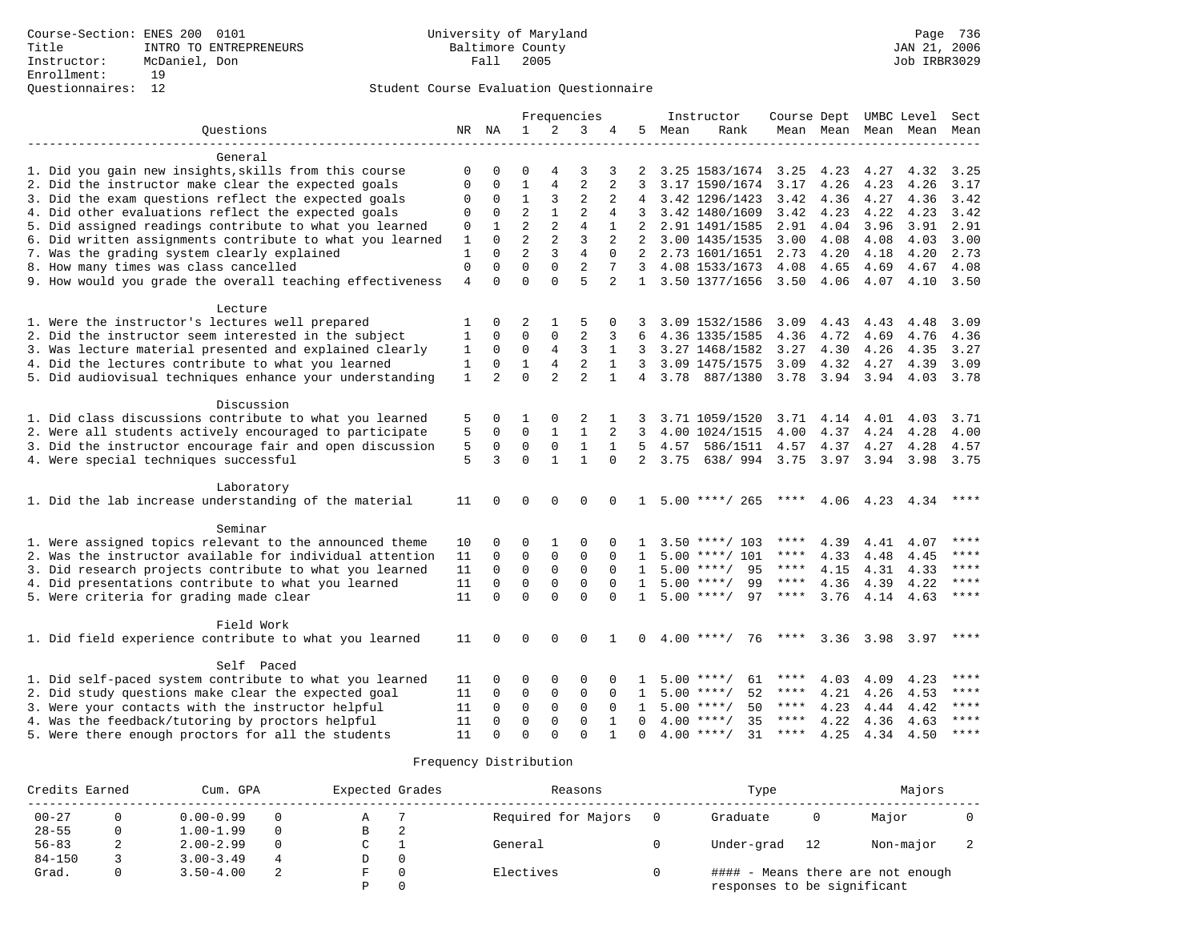|                                                           |                |                |                |                | Frequencies    |                |              |      | Instructor                        | Course Dept UMBC Level |                     |               |      | Sect        |
|-----------------------------------------------------------|----------------|----------------|----------------|----------------|----------------|----------------|--------------|------|-----------------------------------|------------------------|---------------------|---------------|------|-------------|
| Ouestions                                                 |                | NR NA          | $\mathbf{1}$   | $\overline{2}$ | 3              | 4              | .5           | Mean | Rank                              |                        | Mean Mean Mean Mean |               |      | Mean        |
|                                                           |                |                |                |                |                |                |              |      |                                   |                        |                     |               |      |             |
| General                                                   |                |                |                |                |                |                |              |      |                                   |                        |                     |               |      |             |
| 1. Did you gain new insights, skills from this course     | 0              | 0              | $\Omega$       | 4              | 3              | 3              |              |      | 3.25 1583/1674                    | 3.25                   | 4.23                | 4.27          | 4.32 | 3.25        |
| 2. Did the instructor make clear the expected goals       | $\mathbf 0$    | $\mathbf 0$    | $\mathbf 1$    | $\overline{4}$ | $\overline{2}$ | $\overline{2}$ | 3            |      | 3.17 1590/1674                    | 3.17                   | 4.26                | 4.23          | 4.26 | 3.17        |
| 3. Did the exam questions reflect the expected goals      | 0              | $\mathbf 0$    | $\mathbf 1$    | 3              | $\overline{2}$ | 2              |              |      | 4 3.42 1296/1423                  | 3.42                   | 4.36                | 4.27          | 4.36 | 3.42        |
| 4. Did other evaluations reflect the expected goals       | $\mathbf 0$    | $\mathbf 0$    | $\overline{a}$ | $\mathbf{1}$   | $\overline{2}$ | 4              |              |      | 3.42 1480/1609                    | 3.42                   | 4.23                | 4.22          | 4.23 | 3.42        |
| 5. Did assigned readings contribute to what you learned   | $\mathbf 0$    | $\mathbf{1}$   | $\overline{a}$ | $\overline{2}$ | $\overline{4}$ | $\mathbf{1}$   | 2            |      | 2.91 1491/1585                    | 2.91                   | 4.04                | 3.96          | 3.91 | 2.91        |
| 6. Did written assignments contribute to what you learned | 1              | $\Omega$       | $\overline{2}$ | $\overline{c}$ | 3              | 2              |              |      | 3.00 1435/1535                    | 3.00                   | 4.08                | 4.08          | 4.03 | 3.00        |
| 7. Was the grading system clearly explained               | 1              | $\Omega$       | $\overline{2}$ | 3              | $\overline{4}$ | $\Omega$       |              |      | 2 2.73 1601/1651                  | 2.73                   | 4.20                | 4.18          | 4.20 | 2.73        |
| 8. How many times was class cancelled                     | $\Omega$       | $\Omega$       | $\Omega$       | $\Omega$       | 2              | $\overline{7}$ |              |      | 3 4.08 1533/1673                  | 4.08                   | 4.65                | 4.69          | 4.67 | 4.08        |
| 9. How would you grade the overall teaching effectiveness | $\overline{4}$ | $\Omega$       | $\Omega$       | $\Omega$       | $\overline{5}$ | $\overline{a}$ | 1            |      | 3.50 1377/1656                    | 3.50                   | 4.06                | 4.07          | 4.10 | 3.50        |
| Lecture                                                   |                |                |                |                |                |                |              |      |                                   |                        |                     |               |      |             |
| 1. Were the instructor's lectures well prepared           | 1              | 0              | 2              | 1              | 5              | 0              | 3            |      | 3.09 1532/1586                    | 3.09                   | 4.43                | 4.43          | 4.48 | 3.09        |
| 2. Did the instructor seem interested in the subject      | 1              | $\mathbf 0$    | $\mathbf 0$    | $\mathbf 0$    | $\overline{2}$ | 3              | 6            |      | 4.36 1335/1585                    | 4.36                   | 4.72                | 4.69          | 4.76 | 4.36        |
| 3. Was lecture material presented and explained clearly   | 1              | $\Omega$       | $\mathbf 0$    | 4              | 3              | $\mathbf{1}$   | 3            |      | 3.27 1468/1582                    | 3.27                   | 4.30                | 4.26          | 4.35 | 3.27        |
| 4. Did the lectures contribute to what you learned        | 1              | $\Omega$       | $\mathbf{1}$   | $\overline{4}$ | $\overline{2}$ | $\mathbf{1}$   | 3            |      | 3.09 1475/1575                    | 3.09                   | 4.32                | 4.27          | 4.39 | 3.09        |
| 5. Did audiovisual techniques enhance your understanding  | $\mathbf 1$    | $\overline{2}$ | $\Omega$       | $\overline{2}$ | $\overline{2}$ | $\mathbf{1}$   |              |      | 4 3.78 887/1380                   |                        | 3.78 3.94 3.94      |               | 4.03 | 3.78        |
|                                                           |                |                |                |                |                |                |              |      |                                   |                        |                     |               |      |             |
| Discussion                                                |                |                |                |                |                |                |              |      |                                   |                        |                     |               |      |             |
| 1. Did class discussions contribute to what you learned   | 5              | $\Omega$       | 1              | 0              | 2              |                |              |      | 3.71 1059/1520                    | 3.71                   | 4.14 4.01           |               | 4.03 | 3.71        |
| 2. Were all students actively encouraged to participate   | 5              | $\mathbf 0$    | $\Omega$       | $\mathbf{1}$   | $\mathbf{1}$   | $\overline{a}$ | 3            |      | 4.00 1024/1515                    | 4.00                   | 4.37                | 4.24          | 4.28 | 4.00        |
| 3. Did the instructor encourage fair and open discussion  | 5              | $\mathbf 0$    | $\mathbf 0$    | $\Omega$       | $\mathbf{1}$   | $\mathbf{1}$   | 5            | 4.57 | 586/1511                          | 4.57                   | 4.37                | 4.27          | 4.28 | 4.57        |
| 4. Were special techniques successful                     | 5              | 3              | $\Omega$       | $\mathbf{1}$   | $\mathbf{1}$   | $\Omega$       | 2            | 3.75 | 638/ 994 3.75 3.97 3.94 3.98 3.75 |                        |                     |               |      |             |
| Laboratory                                                |                |                |                |                |                |                |              |      |                                   |                        |                     |               |      |             |
| 1. Did the lab increase understanding of the material     | 11             | $\Omega$       | $\Omega$       | $\Omega$       | $\cap$         | $\Omega$       | $\mathbf{1}$ |      | $5.00$ ****/ 265                  | ****                   | 4.06                | 4.23          | 4.34 |             |
|                                                           |                |                |                |                |                |                |              |      |                                   |                        |                     |               |      |             |
| Seminar                                                   |                |                |                |                |                |                |              |      |                                   |                        |                     |               |      | ****        |
| 1. Were assigned topics relevant to the announced theme   | 10             | 0              | 0              | 1              | 0              |                |              |      | $3.50$ ****/ 103                  | ****                   | 4.39                | 4.41          | 4.07 | ****        |
| 2. Was the instructor available for individual attention  | 11             | $\mathbf 0$    | $\mathbf 0$    | $\mathbf 0$    | 0              | $\Omega$       | 1            |      | $5.00$ ****/ 101                  | ****                   | 4.33                | 4.48          | 4.45 | ****        |
| 3. Did research projects contribute to what you learned   | 11             | $\Omega$       | $\mathbf 0$    | $\mathbf 0$    | $\Omega$       | $\Omega$       | $\mathbf{1}$ |      | 95<br>$5.00$ ****/                | $***$ * * *            | 4.15                | 4.31          | 4.33 | $***$       |
| 4. Did presentations contribute to what you learned       | 11             | $\Omega$       | $\mathbf 0$    | $\mathbf 0$    | $\Omega$       | $\Omega$       |              |      | $1, 5, 00$ ****/<br>99            | ****                   | 4.36                | 4.39          | 4.22 |             |
| 5. Were criteria for grading made clear                   | 11             | $\Omega$       | $\Omega$       | $\Omega$       | $\Omega$       | $\Omega$       | $\mathbf{1}$ |      | $5.00$ ****/<br>97                | $***$ * * *            | 3.76                | 4.14 4.63     |      | $***$ * * * |
| Field Work                                                |                |                |                |                |                |                |              |      |                                   |                        |                     |               |      |             |
| 1. Did field experience contribute to what you learned    | 11             | $\Omega$       | 0              | $\Omega$       | $\Omega$       |                | $\Omega$     |      | $4.00$ ****/<br>76                | ****                   |                     | $3.36$ $3.98$ | 3.97 | ****        |
| Self Paced                                                |                |                |                |                |                |                |              |      |                                   |                        |                     |               |      |             |
| 1. Did self-paced system contribute to what you learned   | 11             | $\Omega$       | $\Omega$       | $\Omega$       | $\Omega$       |                |              |      | 61<br>$5.00$ ****/                | ****                   | 4.03                | 4.09          | 4.23 | $***$       |
| 2. Did study questions make clear the expected goal       | 11             | $\mathbf 0$    | $\mathbf 0$    | $\mathbf 0$    | $\mathbf 0$    | 0              | $\mathbf{1}$ |      | 52<br>$5.00$ ****/                | ****                   | 4.21                | 4.26          | 4.53 | $***$       |
| 3. Were your contacts with the instructor helpful         | 11             | $\mathbf 0$    | $\mathbf 0$    | $\mathbf 0$    | $\mathbf 0$    | $\Omega$       | $\mathbf{1}$ |      | $5.00$ ****/<br>50                | $***$ * * *            | 4.23                | 4.44          | 4.42 | ****        |
| 4. Was the feedback/tutoring by proctors helpful          | 11             | $\Omega$       | $\Omega$       | $\mathbf{0}$   | $\Omega$       | $\mathbf{1}$   | $\Omega$     |      | $4.00$ ****/<br>35                | ****                   | 4.22                | 4.36          | 4.63 | ****        |
| 5. Were there enough proctors for all the students        | 11             | $\Omega$       | $\Omega$       | $\Omega$       | $\Omega$       | $\mathbf{1}$   | $\Omega$     |      | $4.00$ ****/ 31                   | **** $4.25$            |                     | 4.34 4.50     |      | $* * * *$   |
|                                                           |                |                |                |                |                |                |              |      |                                   |                        |                     |               |      |             |

|            | Credits Earned |               | Cum. GPA | Expected Grades |   | Reasons             | Type                        |    | Majors                            |  |
|------------|----------------|---------------|----------|-----------------|---|---------------------|-----------------------------|----|-----------------------------------|--|
| $00 - 27$  |                | $0.00 - 0.99$ |          | А               |   | Required for Majors | Graduate                    |    | Major                             |  |
| $28 - 55$  |                | $1.00 - 1.99$ |          | В               | 2 |                     |                             |    |                                   |  |
| $56 - 83$  | 2              | $2.00 - 2.99$ |          |                 |   | General             | Under-grad                  | 12 | Non-major                         |  |
| $84 - 150$ |                | $3.00 - 3.49$ |          | D.              | 0 |                     |                             |    |                                   |  |
| Grad.      |                | $3.50 - 4.00$ |          |                 |   | Electives           |                             |    | #### - Means there are not enough |  |
|            |                |               |          |                 |   |                     | responses to be significant |    |                                   |  |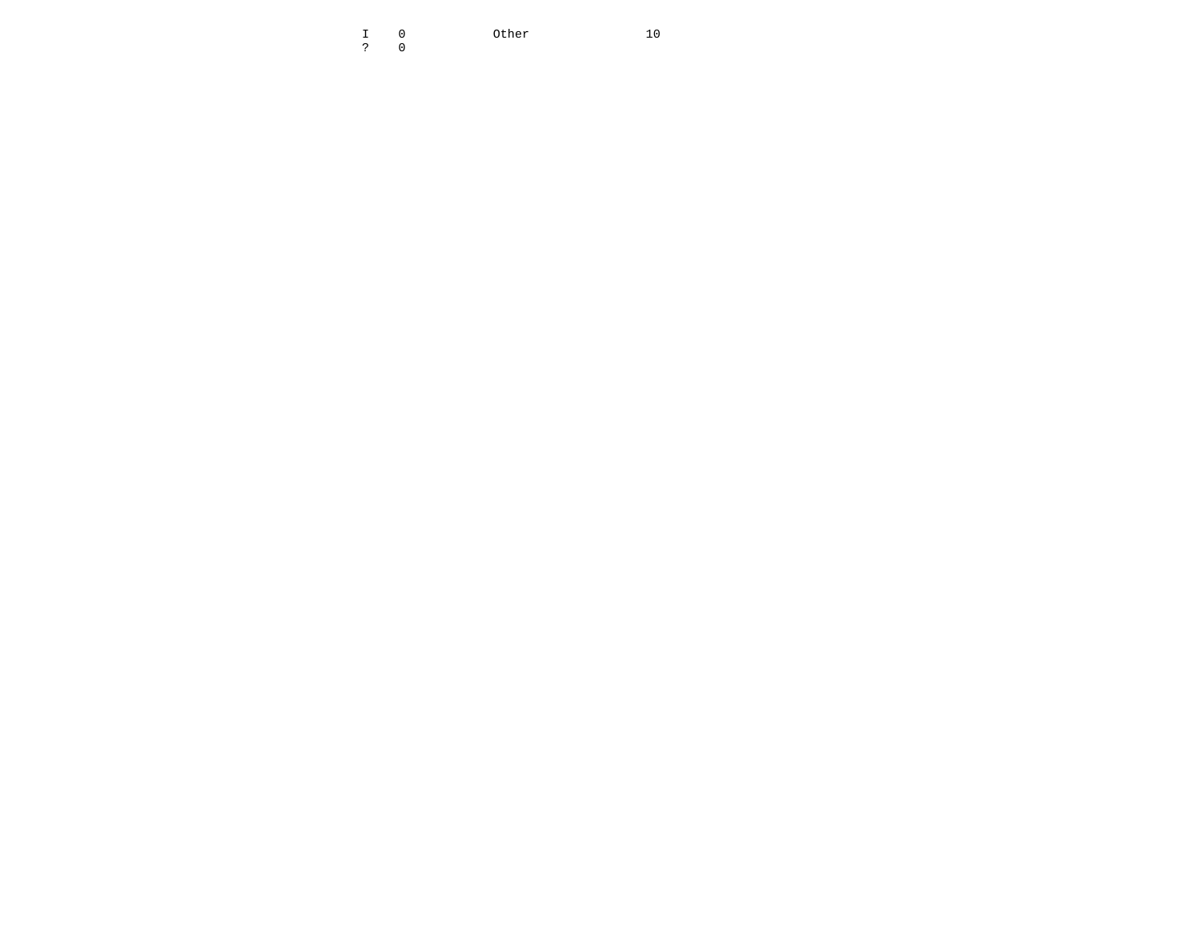I 0 Other 10  $10$ ? 0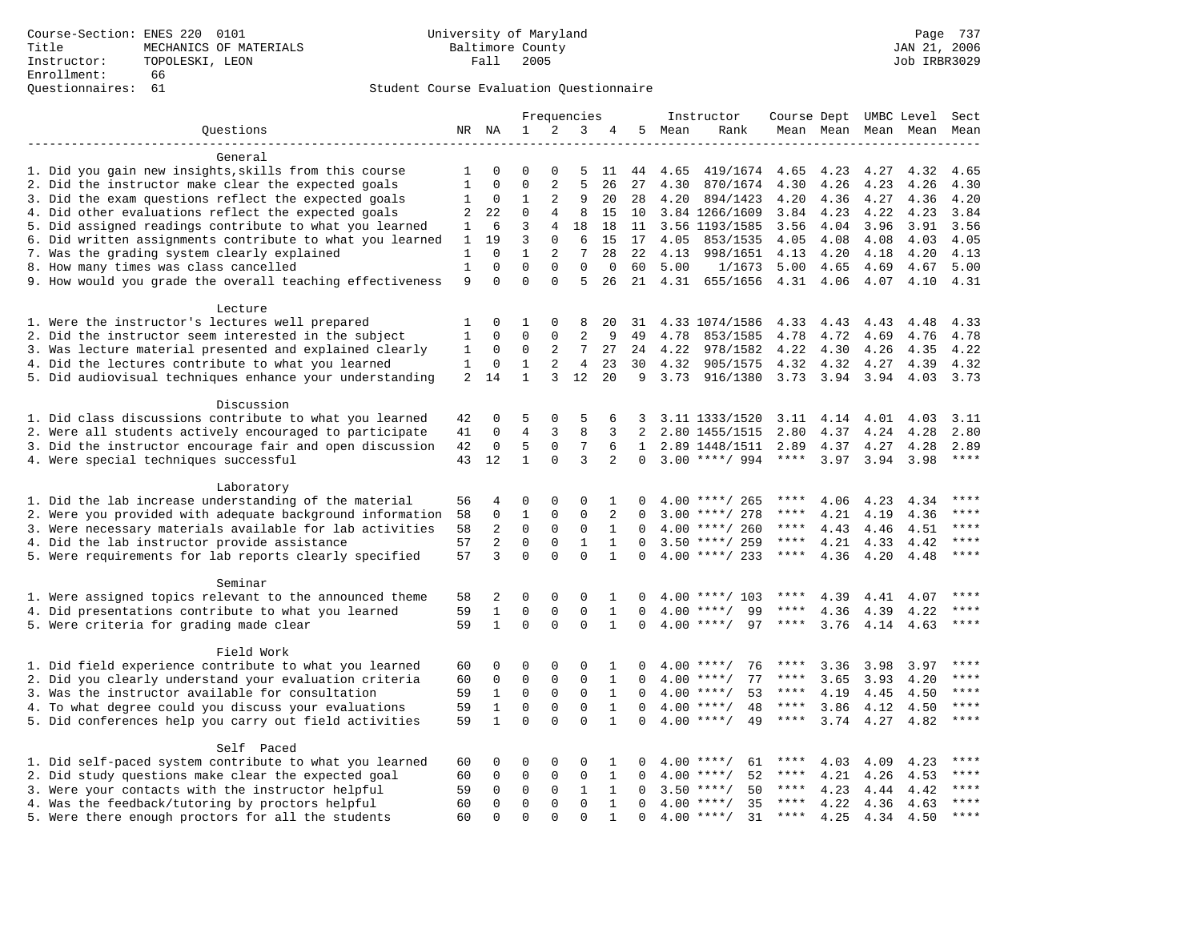### Questionnaires: 61 Student Course Evaluation Questionnaire

|                                                                    |              |                |                |                | Frequencies    |              |              |        | Instructor         | Course Dept UMBC Level Sect |                |      |                          |             |
|--------------------------------------------------------------------|--------------|----------------|----------------|----------------|----------------|--------------|--------------|--------|--------------------|-----------------------------|----------------|------|--------------------------|-------------|
| Questions                                                          |              | NR NA          | $\mathbf{1}$   | 2              | 3              | 4            |              | 5 Mean | Rank               |                             |                |      | Mean Mean Mean Mean Mean |             |
|                                                                    |              |                |                |                |                |              |              |        |                    |                             |                |      |                          |             |
| General                                                            |              |                |                |                |                |              |              |        |                    |                             |                |      |                          |             |
| 1. Did you gain new insights, skills from this course              | 1            | 0              | $\Omega$       | $\Omega$       | 5              | 11           | 44           | 4.65   | 419/1674           | 4.65                        | 4.23           | 4.27 | 4.32                     | 4.65        |
| 2. Did the instructor make clear the expected goals                | $\mathbf{1}$ | $\mathbf 0$    | $\Omega$       | 2              | 5              | 26           | 27           | 4.30   | 870/1674           | 4.30                        | 4.26           | 4.23 | 4.26                     | 4.30        |
| 3. Did the exam questions reflect the expected goals               | 1            | 0              | $\mathbf{1}$   | 2              | 9              | 20           | 28           | 4.20   | 894/1423           | 4.20                        | 4.36           | 4.27 | 4.36                     | 4.20        |
| 4. Did other evaluations reflect the expected goals                | 2            | 22             | $\mathbf 0$    | $\overline{4}$ | 8              | 15           | 10           |        | 3.84 1266/1609     | 3.84                        | 4.23           | 4.22 | 4.23                     | 3.84        |
| 5. Did assigned readings contribute to what you learned            | 1            | 6              | 3              | 4              | 18             | 18           | 11           |        | 3.56 1193/1585     | 3.56                        | 4.04           | 3.96 | 3.91                     | 3.56        |
| 6. Did written assignments contribute to what you learned          | 1            | 19             | $\overline{3}$ | $\Omega$       | 6              | 15           | 17           | 4.05   | 853/1535           | 4.05                        | 4.08           | 4.08 | 4.03                     | 4.05        |
| 7. Was the grading system clearly explained                        | 1            | $\mathbf 0$    | $\mathbf{1}$   | 2              | 7              | 28           | 22           | 4.13   | 998/1651           | 4.13                        | 4.20           | 4.18 | 4.20                     | 4.13        |
| 8. How many times was class cancelled                              | 1            | $\mathbf 0$    | $\Omega$       | $\Omega$       | $\mathbf 0$    | $\mathbf 0$  | 60           | 5.00   | 1/1673             | 5.00                        | 4.65           | 4.69 | 4.67                     | 5.00        |
| 9. How would you grade the overall teaching effectiveness          | 9            | $\Omega$       | $\Omega$       | $\Omega$       | 5              | 26           | 21           | 4.31   | 655/1656           | 4.31 4.06                   |                | 4.07 | 4.10                     | 4.31        |
| Lecture                                                            |              |                |                |                |                |              |              |        |                    |                             |                |      |                          |             |
| 1. Were the instructor's lectures well prepared                    | 1            | $\mathbf 0$    | 1              | 0              | 8              | 20           | 31           |        | 4.33 1074/1586     | 4.33                        | 4.43           | 4.43 | 4.48                     | 4.33        |
| 2. Did the instructor seem interested in the subject               | 1            | 0              | 0              | $\mathbf 0$    | $\overline{a}$ | 9            | 49           | 4.78   | 853/1585           | 4.78                        | 4.72           | 4.69 | 4.76                     | 4.78        |
| 3. Was lecture material presented and explained clearly            | 1            | 0              | 0              | 2              | 7              | 27           | 24           | 4.22   | 978/1582           | 4.22                        | 4.30           | 4.26 | 4.35                     | 4.22        |
| 4. Did the lectures contribute to what you learned                 | 1            | 0              | 1              | 2              | $\overline{4}$ | 23           | 30           | 4.32   | 905/1575           | 4.32                        | 4.32           | 4.27 | 4.39                     | 4.32        |
| 5. Did audiovisual techniques enhance your understanding           | 2            | 14             | $\mathbf{1}$   | 3              | 12             | 20           | 9            | 3.73   | 916/1380           |                             | 3.73 3.94 3.94 |      | 4.03                     | 3.73        |
|                                                                    |              |                |                |                |                |              |              |        |                    |                             |                |      |                          |             |
| Discussion                                                         |              |                |                |                |                |              |              |        |                    |                             |                |      |                          |             |
| 1. Did class discussions contribute to what you learned            | 42           | 0              | 5              | $\Omega$       | 5              | 6            |              |        | 3.11 1333/1520     | 3.11                        | 4.14           | 4.01 | 4.03                     | 3.11        |
| 2. Were all students actively encouraged to participate            | 41           | $\mathbf 0$    | $\overline{4}$ | $\overline{3}$ | 8              | 3            | 2            |        | 2.80 1455/1515     | 2.80                        | 4.37           | 4.24 | 4.28                     | 2.80        |
| 3. Did the instructor encourage fair and open discussion           | 42           | $\mathbf 0$    | 5              | $\mathbf 0$    | 7              | 6            | $\mathbf{1}$ |        | 2.89 1448/1511     | 2.89                        | 4.37           | 4.27 | 4.28                     | 2.89        |
| 4. Were special techniques successful                              | 43           | 12             | $\mathbf{1}$   | $\Omega$       | 3              | 2            | $\Omega$     |        | $3.00$ ****/ 994   | ****                        | 3.97           | 3.94 | 3.98                     | ****        |
| Laboratory                                                         |              |                |                |                |                |              |              |        |                    |                             |                |      |                          |             |
| 1. Did the lab increase understanding of the material              | 56           | 4              | $\Omega$       | $\Omega$       | $\Omega$       | 1            | n            |        | $4.00$ ****/ 265   | ****                        | 4.06           | 4.23 | 4.34                     | ****        |
| 2. Were you provided with adequate background information          | 58           | 0              | 1              | $\mathbf 0$    | 0              | 2            | $\Omega$     |        | $3.00$ ****/ 278   | ****                        | 4.21           | 4.19 | 4.36                     | ****        |
| 3. Were necessary materials available for lab activities           | 58           | $\overline{2}$ | $\mathbf 0$    | $\mathbf 0$    | $\mathbf 0$    | $\mathbf{1}$ | $\Omega$     |        | $4.00$ ****/ 260   | ****                        | 4.43           | 4.46 | 4.51                     | $***$       |
| 4. Did the lab instructor provide assistance                       | 57           | $\overline{2}$ | $\mathbf 0$    | $\mathbf 0$    | $\mathbf{1}$   | $\mathbf{1}$ | $\Omega$     |        | $3.50$ ****/ 259   | $***$ * * *                 | 4.21           | 4.33 | 4.42                     | $***$       |
| 5. Were requirements for lab reports clearly specified             | 57           | 3              | $\Omega$       | $\Omega$       | $\Omega$       | $\mathbf{1}$ | $\Omega$     |        | $4.00$ ****/ 233   | $***$ * * *                 | 4.36           | 4.20 | 4.48                     | $***$       |
|                                                                    |              |                |                |                |                |              |              |        |                    |                             |                |      |                          |             |
| Seminar<br>1. Were assigned topics relevant to the announced theme | 58           | 2              | $\Omega$       | $\Omega$       | $\Omega$       | 1            | $\Omega$     |        | $4.00$ ****/ 103   | ****                        | 4.39           | 4.41 | 4.07                     | $***$ * * * |
| 4. Did presentations contribute to what you learned                | 59           | 1              | $\Omega$       | 0              | $\mathbf 0$    | $\mathbf{1}$ | $\Omega$     |        | $4.00$ ****/<br>99 | ****                        | 4.36           | 4.39 | 4.22                     | ****        |
| 5. Were criteria for grading made clear                            | 59           | $\mathbf{1}$   | $\mathbf 0$    | $\Omega$       | $\mathbf 0$    | $\mathbf{1}$ | $\Omega$     |        | $4.00$ ****/<br>97 | $***$ * * *                 | 3.76           | 4.14 | 4.63                     | ****        |
|                                                                    |              |                |                |                |                |              |              |        |                    |                             |                |      |                          |             |
| Field Work                                                         |              |                |                |                |                |              |              |        |                    |                             |                |      |                          |             |
| 1. Did field experience contribute to what you learned             | 60           | 0              | 0              | 0              | $\Omega$       | 1            | $\Omega$     |        | $4.00$ ****/<br>76 | ****                        | 3.36           | 3.98 | 3.97                     |             |
| 2. Did you clearly understand your evaluation criteria             | 60           | $\mathbf 0$    | $\mathbf 0$    | $\mathbf 0$    | $\mathbf 0$    | $\mathbf{1}$ | $\Omega$     | 4.00   | 77<br>$***/$       | ****                        | 3.65           | 3.93 | 4.20                     | ****        |
| 3. Was the instructor available for consultation                   | 59           | 1              | $\mathbf 0$    | 0              | 0              | 1            | $\Omega$     |        | $4.00$ ****/<br>53 | ****                        | 4.19           | 4.45 | 4.50                     | $***$       |
| 4. To what degree could you discuss your evaluations               | 59           | $\mathbf 1$    | $\mathbf 0$    | $\mathbf{0}$   | $\mathbf 0$    | $\mathbf{1}$ | $\Omega$     |        | $4.00$ ****/<br>48 | $***$ * * *                 | 3.86           | 4.12 | 4.50                     | ****        |
| 5. Did conferences help you carry out field activities             | 59           | $\mathbf{1}$   | $\Omega$       | $\Omega$       | $\Omega$       | $\mathbf{1}$ | $\Omega$     |        | $4.00$ ****/<br>49 | $***$ * *                   | 3.74           | 4.27 | 4.82                     | $***$       |
| Self Paced                                                         |              |                |                |                |                |              |              |        |                    |                             |                |      |                          |             |
| 1. Did self-paced system contribute to what you learned            | 60           | 0              | $\Omega$       | $\Omega$       | $\Omega$       | $\mathbf{1}$ | $\Omega$     |        | 61<br>$4.00$ ****/ | ****                        | 4.03           | 4.09 | 4.23                     | ****        |
| 2. Did study questions make clear the expected goal                | 60           | $\mathbf 0$    | $\mathbf 0$    | $\mathbf{0}$   | $\mathbf 0$    | $\mathbf{1}$ | 0            | 4.00   | 52<br>$***$ /      | ****                        | 4.21           | 4.26 | 4.53                     | ****        |
| 3. Were your contacts with the instructor helpful                  | 59           | $\mathbf 0$    | $\mathbf 0$    | $\mathbf 0$    | $\mathbf{1}$   | $\mathbf{1}$ | $\Omega$     | 3.50   | $***/$<br>50       | ****                        | 4.23           | 4.44 | 4.42                     | ****        |
| 4. Was the feedback/tutoring by proctors helpful                   | 60           | $\Omega$       | $\mathbf 0$    | $\mathbf 0$    | $\Omega$       | $\mathbf{1}$ | $\Omega$     |        | $4.00$ ****/<br>35 | ****                        | 4.22           | 4.36 | 4.63                     | $***$       |
| 5. Were there enough proctors for all the students                 | 60           | $\Omega$       | $\Omega$       | $\Omega$       | $\Omega$       | $\mathbf{1}$ | $\Omega$     |        | $4.00$ ****/<br>31 | ****                        | 4.25           | 4.34 | 4.50                     | $***$       |
|                                                                    |              |                |                |                |                |              |              |        |                    |                             |                |      |                          |             |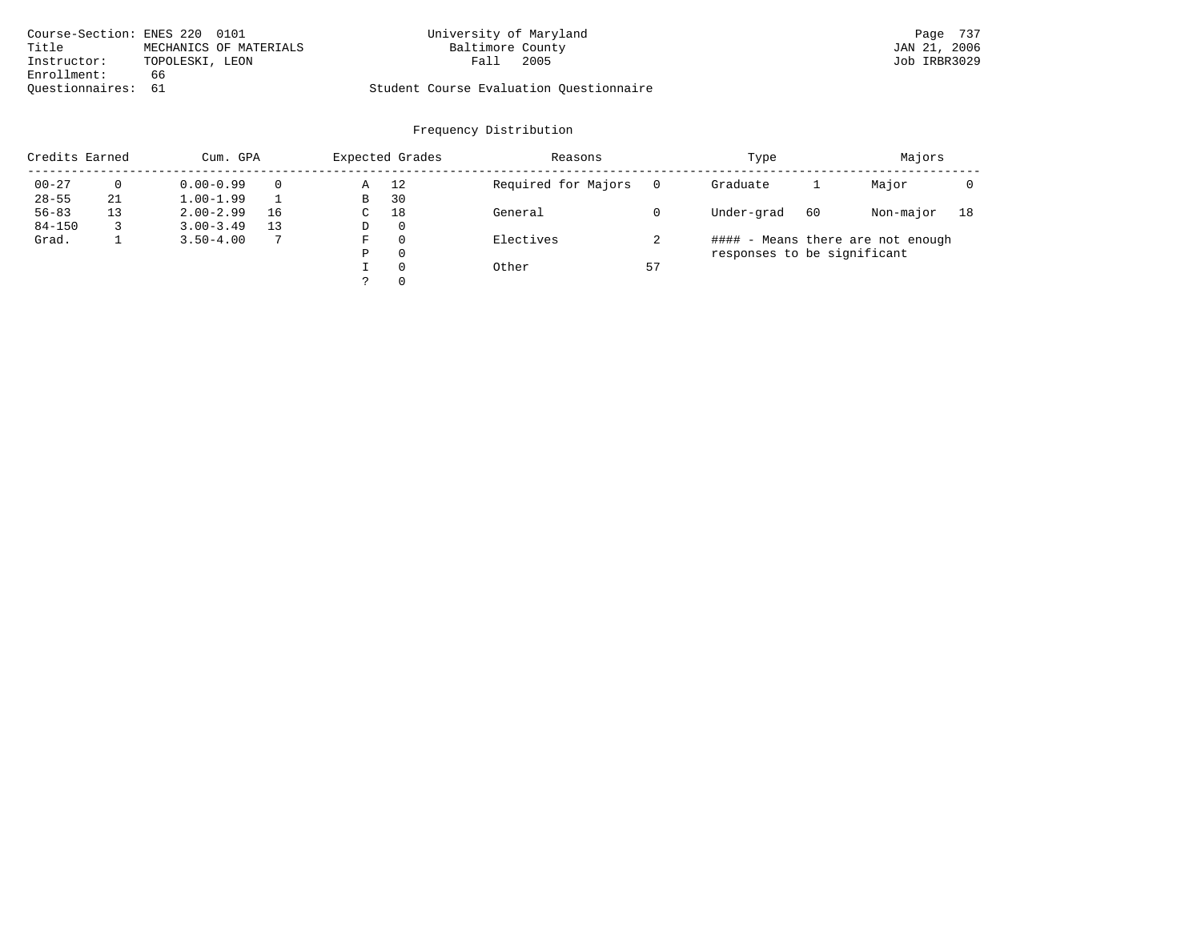| Course-Section: ENES 220 0101 |                 |                        | University of Maryland |                                         | Page 737     |  |
|-------------------------------|-----------------|------------------------|------------------------|-----------------------------------------|--------------|--|
| Title                         |                 | MECHANICS OF MATERIALS | Baltimore County       |                                         | JAN 21, 2006 |  |
| Instructor:                   | TOPOLESKI, LEON |                        | Fall                   | 2005                                    | Job IRBR3029 |  |
| Enrollment:                   | 66              |                        |                        |                                         |              |  |
| Ouestionnaires: 61            |                 |                        |                        | Student Course Evaluation Ouestionnaire |              |  |

| Credits Earned |    | Cum. GPA      |    |             | Expected Grades | Reasons             |          | Type                        |    | Majors                            |    |
|----------------|----|---------------|----|-------------|-----------------|---------------------|----------|-----------------------------|----|-----------------------------------|----|
| $00 - 27$      | 0  | $0.00 - 0.99$ |    | Α           | 12              | Required for Majors | $\Omega$ | Graduate                    |    | Major                             |    |
| $28 - 55$      | 21 | $1.00 - 1.99$ |    | B           | 30              |                     |          |                             |    |                                   |    |
| $56 - 83$      | 13 | $2.00 - 2.99$ | 16 | $\sim$<br>◡ | 18              | General             |          | Under-grad                  | 60 | Non-major                         | 18 |
| $84 - 150$     |    | $3.00 - 3.49$ | 13 | D           | 0               |                     |          |                             |    |                                   |    |
| Grad.          |    | $3.50 - 4.00$ |    | F           | 0               | Electives           |          |                             |    | #### - Means there are not enough |    |
|                |    |               |    | Ρ           | 0               |                     |          | responses to be significant |    |                                   |    |
|                |    |               |    |             | $\Omega$        | Other               | 57       |                             |    |                                   |    |
|                |    |               |    | っ           | 0               |                     |          |                             |    |                                   |    |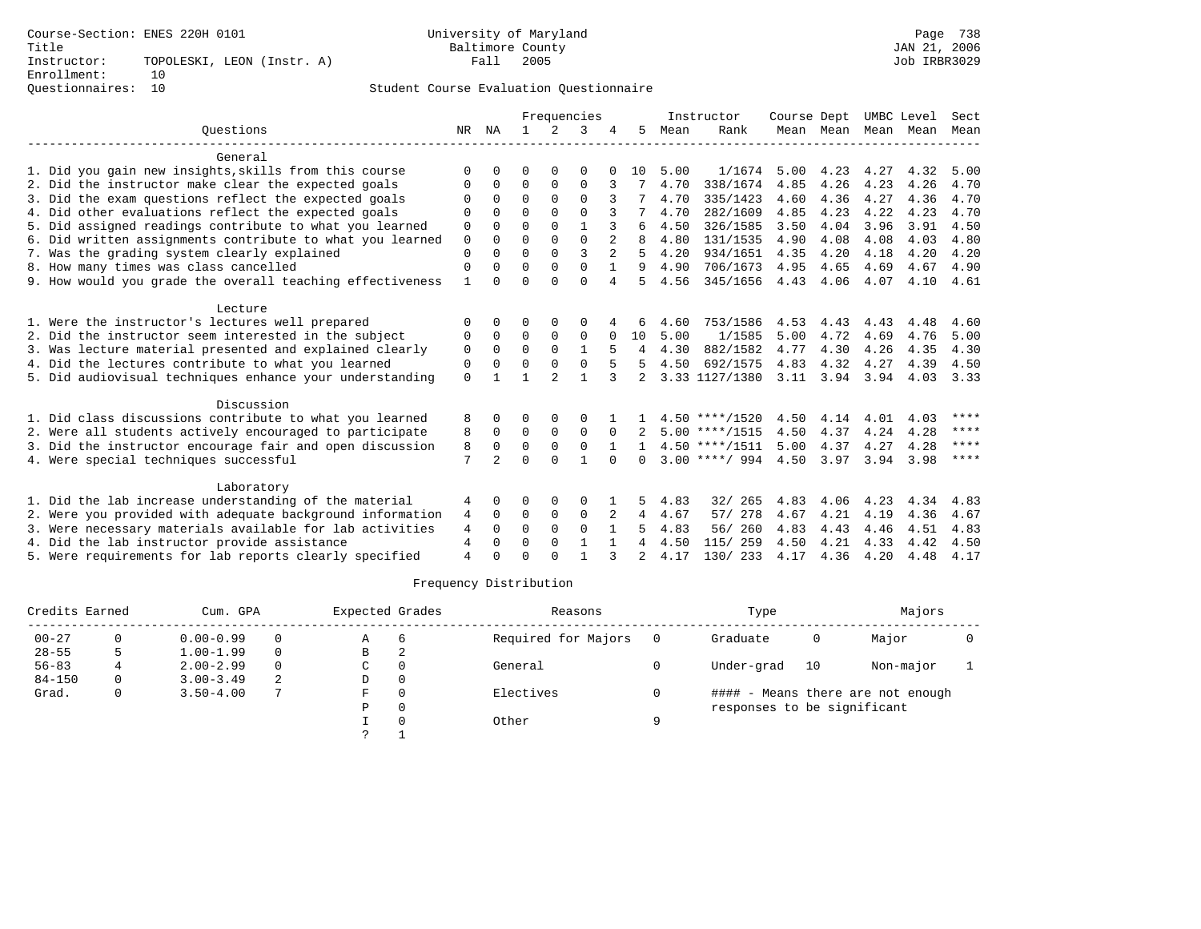|                                                           |              |              |          |                | Frequencies    |              |                |      | Instructor       | Course Dept |      |                     | UMBC Level | Sect |
|-----------------------------------------------------------|--------------|--------------|----------|----------------|----------------|--------------|----------------|------|------------------|-------------|------|---------------------|------------|------|
| Ouestions                                                 | NR           | ΝA           |          | 2              | 3              |              | 5              | Mean | Rank             |             |      | Mean Mean Mean Mean |            | Mean |
| General                                                   |              |              |          |                |                |              |                |      |                  |             |      |                     |            |      |
| 1. Did you gain new insights, skills from this course     | O            | $\Omega$     | U        | $\Omega$       | $\Omega$       |              | 10             | 5.00 | 1/1674           | 5.00        | 4.23 | 4.27                | 4.32       | 5.00 |
| 2. Did the instructor make clear the expected goals       | O            | 0            | 0        | 0              | 0              | 3            |                | 4.70 | 338/1674         | 4.85        | 4.26 | 4.23                | 4.26       | 4.70 |
| 3. Did the exam questions reflect the expected goals      | O            | $\Omega$     | $\Omega$ | $\Omega$       | 0              |              |                | 4.70 | 335/1423         | 4.60        | 4.36 | 4.27                | 4.36       | 4.70 |
| 4. Did other evaluations reflect the expected goals       | U            | $\Omega$     | $\Omega$ | $\Omega$       | $\Omega$       |              |                | 4.70 | 282/1609         | 4.85        | 4.23 | 4.22                | 4.23       | 4.70 |
| 5. Did assigned readings contribute to what you learned   | 0            | $\Omega$     | $\Omega$ | $\Omega$       |                |              | 6              | 4.50 | 326/1585         | 3.50        | 4.04 | 3.96                | 3.91       | 4.50 |
| 6. Did written assignments contribute to what you learned | 0            | $\Omega$     | U        | $\Omega$       | $\Omega$       |              | 8              | 4.80 | 131/1535         | 4.90        | 4.08 | 4.08                | 4.03       | 4.80 |
| 7. Was the grading system clearly explained               | 0            | $\Omega$     | $\Omega$ | $\Omega$       | ζ              |              | 5              | 4.20 | 934/1651         | 4.35        | 4.20 | 4.18                | 4.20       | 4.20 |
| 8. How many times was class cancelled                     | 0            | $\Omega$     | $\Omega$ | $\Omega$       | $\Omega$       | 1            | 9              | 4.90 | 706/1673         | 4.95        | 4.65 | 4.69                | 4.67       | 4.90 |
| 9. How would you grade the overall teaching effectiveness | $\mathbf{1}$ | $\Omega$     | O        | $\Omega$       | $\Omega$       | 4            | 5              | 4.56 | 345/1656         | 4.43        | 4.06 | 4.07                | 4.10       | 4.61 |
| Lecture                                                   |              |              |          |                |                |              |                |      |                  |             |      |                     |            |      |
| 1. Were the instructor's lectures well prepared           | O            | $\Omega$     | U        | O              | 0              |              | 6              | 4.60 | 753/1586         | 4.53        | 4.43 | 4.43                | 4.48       | 4.60 |
| 2. Did the instructor seem interested in the subject      | 0            | $\mathbf 0$  | 0        | $\mathbf 0$    | 0              |              | 10             | 5.00 | 1/1585           | 5.00        | 4.72 | 4.69                | 4.76       | 5.00 |
| 3. Was lecture material presented and explained clearly   | 0            | $\Omega$     | $\Omega$ | $\Omega$       | $\mathbf{1}$   | 5            | 4              | 4.30 | 882/1582         | 4.77        | 4.30 | 4.26                | 4.35       | 4.30 |
| 4. Did the lectures contribute to what you learned        | 0            | 0            | O        | $\Omega$       | 0              | 5            | 5              | 4.50 | 692/1575         | 4.83        | 4.32 | 4.27                | 4.39       | 4.50 |
| 5. Did audiovisual techniques enhance your understanding  | $\mathbf 0$  | $\mathbf{1}$ |          | $\mathfrak{D}$ | $\overline{1}$ | $\mathbf{3}$ | $\mathfrak{D}$ |      | 3.33 1127/1380   | 3.11        | 3.94 | 3.94                | 4.03       | 3.33 |
| Discussion                                                |              |              |          |                |                |              |                |      |                  |             |      |                     |            |      |
| 1. Did class discussions contribute to what you learned   | 8            | $\Omega$     | 0        | $\Omega$       | 0              |              |                |      | $4.50$ ****/1520 | 4.50        | 4.14 | 4.01                | 4.03       | **** |
| 2. Were all students actively encouraged to participate   | 8            | $\Omega$     | $\Omega$ | $\Omega$       | $\Omega$       | $\Omega$     |                |      | $5.00$ ****/1515 | 4.50        | 4.37 | 4.24                | 4.28       | **** |
| 3. Did the instructor encourage fair and open discussion  | 8            | $\Omega$     | $\Omega$ | $\mathbf 0$    | $\mathbf 0$    |              |                |      | $4.50$ ****/1511 | 5.00        | 4.37 | 4.27                | 4.28       | **** |
| 4. Were special techniques successful                     | 7            | 2            | U        | $\cap$         | $\mathbf{1}$   | $\cap$       | $\Omega$       |      | $3.00$ ****/ 994 | 4.50        | 3.97 | 3.94                | 3.98       | **** |
| Laboratory                                                |              |              |          |                |                |              |                |      |                  |             |      |                     |            |      |
| 1. Did the lab increase understanding of the material     | 4            | 0            | 0        | 0              | 0              |              | 5              | 4.83 | 265<br>32/       | 4.83        | 4.06 | 4.23                | 4.34       | 4.83 |
| 2. Were you provided with adequate background information | 4            | $\mathbf 0$  | 0        | $\mathbf 0$    | 0              | 2            | 4              | 4.67 | 57/ 278          | 4.67        | 4.21 | 4.19                | 4.36       | 4.67 |
| 3. Were necessary materials available for lab activities  | 4            | $\Omega$     | $\Omega$ | $\Omega$       | $\Omega$       |              | 5              | 4.83 | 56/ 260          | 4.83        | 4.43 | 4.46                | 4.51       | 4.83 |
| 4. Did the lab instructor provide assistance              | 4            | $\mathbf 0$  | 0        | $\mathbf 0$    | $\mathbf{1}$   | $\mathbf{1}$ | 4              | 4.50 | 115/ 259         | 4.50        | 4.21 | 4.33                | 4.42       | 4.50 |
| 5. Were requirements for lab reports clearly specified    | 4            | $\Omega$     | U        | $\cap$         |                | 3            |                | 4.17 | 130/233          | 4.17        | 4.36 | 4.20                | 4.48       | 4.17 |

|            | Credits Earned<br>Cum. GPA |               |          | Expected Grades |                          | Reasons             |   | Type                        |    | Majors                            |  |
|------------|----------------------------|---------------|----------|-----------------|--------------------------|---------------------|---|-----------------------------|----|-----------------------------------|--|
| $00 - 27$  |                            | $0.00 - 0.99$ | $\Omega$ | Α               | -6                       | Required for Majors |   | Graduate                    | 0  | Major                             |  |
| $28 - 55$  |                            | $1.00 - 1.99$ | $\Omega$ | В               | $\overline{\phantom{a}}$ |                     |   |                             |    |                                   |  |
| $56 - 83$  |                            | $2.00 - 2.99$ | $\Omega$ | C               |                          | General             |   | Under-grad                  | 10 | Non-major                         |  |
| $84 - 150$ | 0                          | $3.00 - 3.49$ | 2        | D               |                          |                     |   |                             |    |                                   |  |
| Grad.      | 0                          | $3.50 - 4.00$ | 7        | F               |                          | Electives           |   |                             |    | #### - Means there are not enough |  |
|            |                            |               |          | P               |                          |                     |   | responses to be significant |    |                                   |  |
|            |                            |               |          |                 |                          | Other               | Q |                             |    |                                   |  |
|            |                            |               |          | っ               |                          |                     |   |                             |    |                                   |  |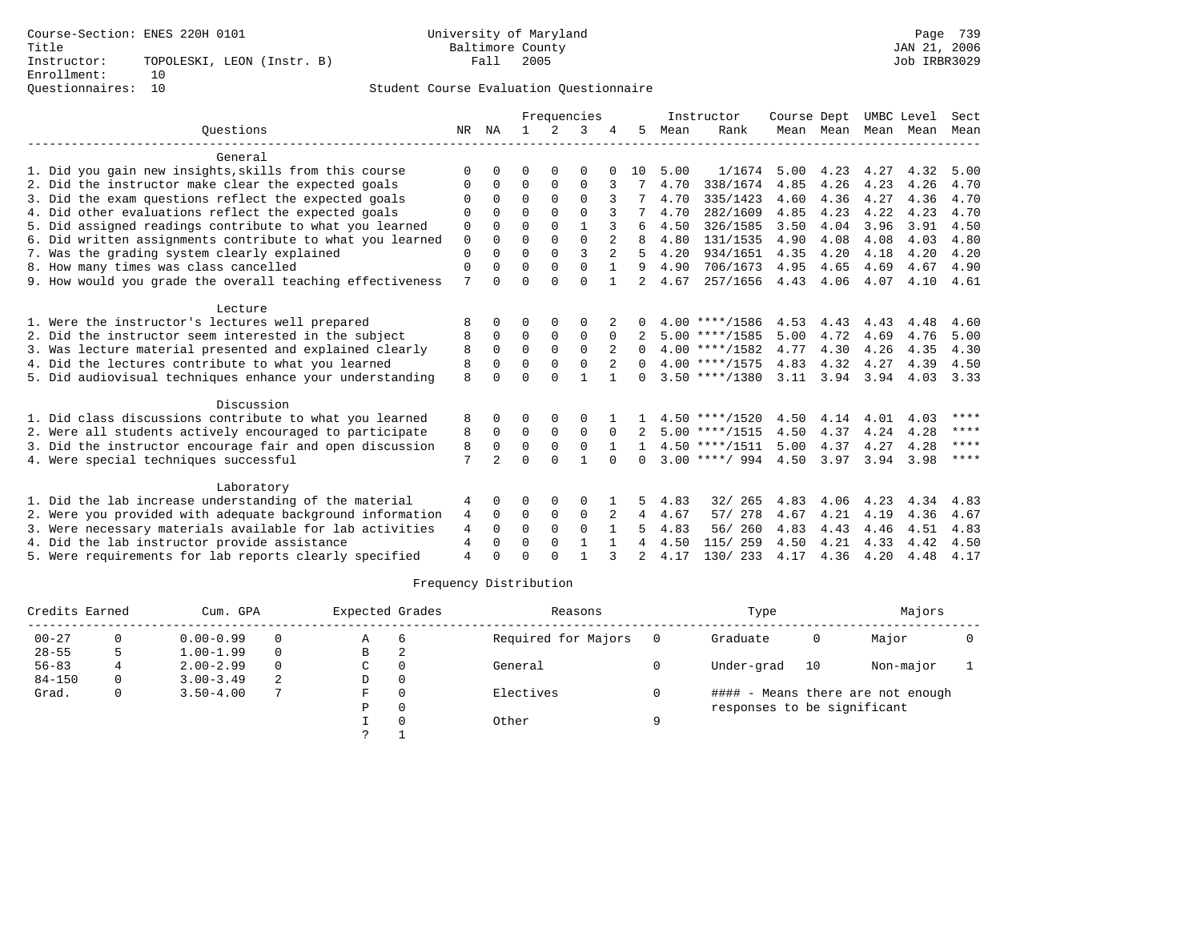|                                                           |                |                |              |             | Frequencies  |                |                |      | Instructor       | Course Dept |                |      | UMBC Level | Sect      |
|-----------------------------------------------------------|----------------|----------------|--------------|-------------|--------------|----------------|----------------|------|------------------|-------------|----------------|------|------------|-----------|
| Ouestions                                                 | NR             | NA             | $\mathbf{1}$ | 2           | 3            |                | 5.             | Mean | Rank             |             | Mean Mean Mean |      | Mean       | Mean      |
| General                                                   |                |                |              |             |              |                |                |      |                  |             |                |      |            |           |
| 1. Did you gain new insights, skills from this course     | $\Omega$       |                | 0            | $\Omega$    | 0            |                | 10             | 5.00 | 1/1674           | 5.00        | 4.23           | 4.27 | 4.32       | 5.00      |
| 2. Did the instructor make clear the expected goals       | 0              | 0              | 0            | $\mathbf 0$ | $\mathbf 0$  |                |                | 4.70 | 338/1674         | 4.85        | 4.26           | 4.23 | 4.26       | 4.70      |
| 3. Did the exam questions reflect the expected goals      |                | $\Omega$       | $\Omega$     | $\Omega$    | $\Omega$     |                |                | 4.70 | 335/1423         | 4.60        | 4.36           | 4.27 | 4.36       | 4.70      |
| 4. Did other evaluations reflect the expected goals       | $\Omega$       | $\Omega$       | $\Omega$     | $\Omega$    | $\Omega$     |                |                | 4.70 | 282/1609         | 4.85        | 4.23           | 4.22 | 4.23       | 4.70      |
| 5. Did assigned readings contribute to what you learned   | 0              | $\Omega$       | $\Omega$     | $\Omega$    | $\mathbf{1}$ |                | 6              | 4.50 | 326/1585         | 3.50        | 4.04           | 3.96 | 3.91       | 4.50      |
| 6. Did written assignments contribute to what you learned | $\mathbf 0$    | $\Omega$       | $\Omega$     | $\Omega$    | $\Omega$     | $\overline{a}$ | 8              | 4.80 | 131/1535         | 4.90        | 4.08           | 4.08 | 4.03       | 4.80      |
| 7. Was the grading system clearly explained               | $\mathbf{0}$   | $\Omega$       | $\Omega$     | $\Omega$    | 3            | $\overline{a}$ | 5              | 4.20 | 934/1651         | 4.35        | 4.20           | 4.18 | 4.20       | 4.20      |
| 8. How many times was class cancelled                     | $\mathbf 0$    | $\Omega$       | $\Omega$     | $\Omega$    | $\Omega$     |                | 9              | 4.90 | 706/1673         | 4.95        | 4.65           | 4.69 | 4.67       | 4.90      |
| 9. How would you grade the overall teaching effectiveness | 7              | $\Omega$       | $\Omega$     | $\Omega$    | $\Omega$     |                | $\overline{2}$ | 4.67 | 257/1656         | 4.43        | 4.06           | 4.07 | 4.10       | 4.61      |
| Lecture                                                   |                |                |              |             |              |                |                |      |                  |             |                |      |            |           |
| 1. Were the instructor's lectures well prepared           | 8              | 0              | 0            | $\Omega$    | O            |                |                |      | $4.00$ ****/1586 | 4.53        | 4.43           | 4.43 | 4.48       | 4.60      |
| 2. Did the instructor seem interested in the subject      | 8              | 0              | 0            | $\mathbf 0$ | 0            | $\Omega$       |                |      | $5.00$ ****/1585 | 5.00        | 4.72           | 4.69 | 4.76       | 5.00      |
| 3. Was lecture material presented and explained clearly   | 8              | $\Omega$       | $\Omega$     | $\Omega$    | $\Omega$     | 2              | $\Omega$       |      | $4.00$ ****/1582 | 4.77        | 4.30           | 4.26 | 4.35       | 4.30      |
| 4. Did the lectures contribute to what you learned        | 8              | $\Omega$       | $\Omega$     | $\Omega$    | 0            |                | $\Omega$       |      | $4.00$ ****/1575 | 4.83        | 4.32           | 4.27 | 4.39       | 4.50      |
| 5. Did audiovisual techniques enhance your understanding  | 8              |                | $\Omega$     | $\cap$      | $\mathbf{1}$ | $\mathbf{1}$   | 0              |      | $3.50$ ****/1380 | 3.11        | 3.94           | 3.94 | 4.03       | 3.33      |
| Discussion                                                |                |                |              |             |              |                |                |      |                  |             |                |      |            |           |
| 1. Did class discussions contribute to what you learned   | 8              | $\Omega$       | O            | $\Omega$    | 0            |                |                |      | $4.50$ ****/1520 | 4.50        | 4.14           | 4.01 | 4.03       | ****      |
| 2. Were all students actively encouraged to participate   | 8              | $\mathbf 0$    | $\mathbf 0$  | $\Omega$    | $\mathbf{0}$ | $\Omega$       |                |      | $5.00$ ****/1515 | 4.50        | 4.37           | 4.24 | 4.28       | ****      |
| 3. Did the instructor encourage fair and open discussion  | 8              | $\Omega$       | $\Omega$     | $\mathbf 0$ | $\Omega$     |                |                |      | $4.50$ ****/1511 | 5.00        | 4.37           | 4.27 | 4.28       | $* * * *$ |
| 4. Were special techniques successful                     | 7              | $\overline{a}$ | $\Omega$     | $\cap$      | $\mathbf{1}$ | $\cap$         | 0              |      | $3.00$ ****/ 994 | 4.50        | 3.97           | 3.94 | 3.98       | ****      |
| Laboratory                                                |                |                |              |             |              |                |                |      |                  |             |                |      |            |           |
| 1. Did the lab increase understanding of the material     | 4              | $\Omega$       | O            | 0           | 0            |                | 5              | 4.83 | 32/265           | 4.83        | 4.06           | 4.23 | 4.34       | 4.83      |
| 2. Were you provided with adequate background information | 4              | $\Omega$       | 0            | $\mathbf 0$ | $\mathbf 0$  |                | 4              | 4.67 | 57/ 278          | 4.67        | 4.21           | 4.19 | 4.36       | 4.67      |
| 3. Were necessary materials available for lab activities  | 4              | $\Omega$       | $\Omega$     | $\Omega$    | $\Omega$     | $\mathbf{1}$   | 5              | 4.83 | 56/ 260          | 4.83        | 4.43           | 4.46 | 4.51       | 4.83      |
| 4. Did the lab instructor provide assistance              | 4              | $\Omega$       | $\Omega$     | $\Omega$    |              |                | 4              | 4.50 | 115/ 259         | 4.50        | 4.21           | 4.33 | 4.42       | 4.50      |
| 5. Were requirements for lab reports clearly specified    | $\overline{4}$ | $\cap$         | U            | ∩           | $\mathbf{1}$ |                | $\mathfrak{D}$ | 4.17 | 130/ 233         | 4.17        | 4.36           | 4.20 | 4.48       | 4.17      |

| Credits Earned |   | Cum. GPA      |          | Expected Grades |   | Reasons             |   | Type                        |    | Majors                            |  |
|----------------|---|---------------|----------|-----------------|---|---------------------|---|-----------------------------|----|-----------------------------------|--|
| $00 - 27$      |   | $0.00 - 0.99$ | 0        | Α               |   | Required for Majors |   | Graduate                    | 0  | Major                             |  |
| $28 - 55$      |   | $1.00 - 1.99$ | 0        | В               | △ |                     |   |                             |    |                                   |  |
| $56 - 83$      |   | $2.00 - 2.99$ | $\Omega$ | C               |   | General             |   | Under-grad                  | 10 | Non-major                         |  |
| $84 - 150$     | 0 | $3.00 - 3.49$ | 2        | D               |   |                     |   |                             |    |                                   |  |
| Grad.          |   | $3.50 - 4.00$ | 7        | F               |   | Electives           |   |                             |    | #### - Means there are not enough |  |
|                |   |               |          | P               |   |                     |   | responses to be significant |    |                                   |  |
|                |   |               |          |                 |   | Other               | a |                             |    |                                   |  |
|                |   |               |          |                 |   |                     |   |                             |    |                                   |  |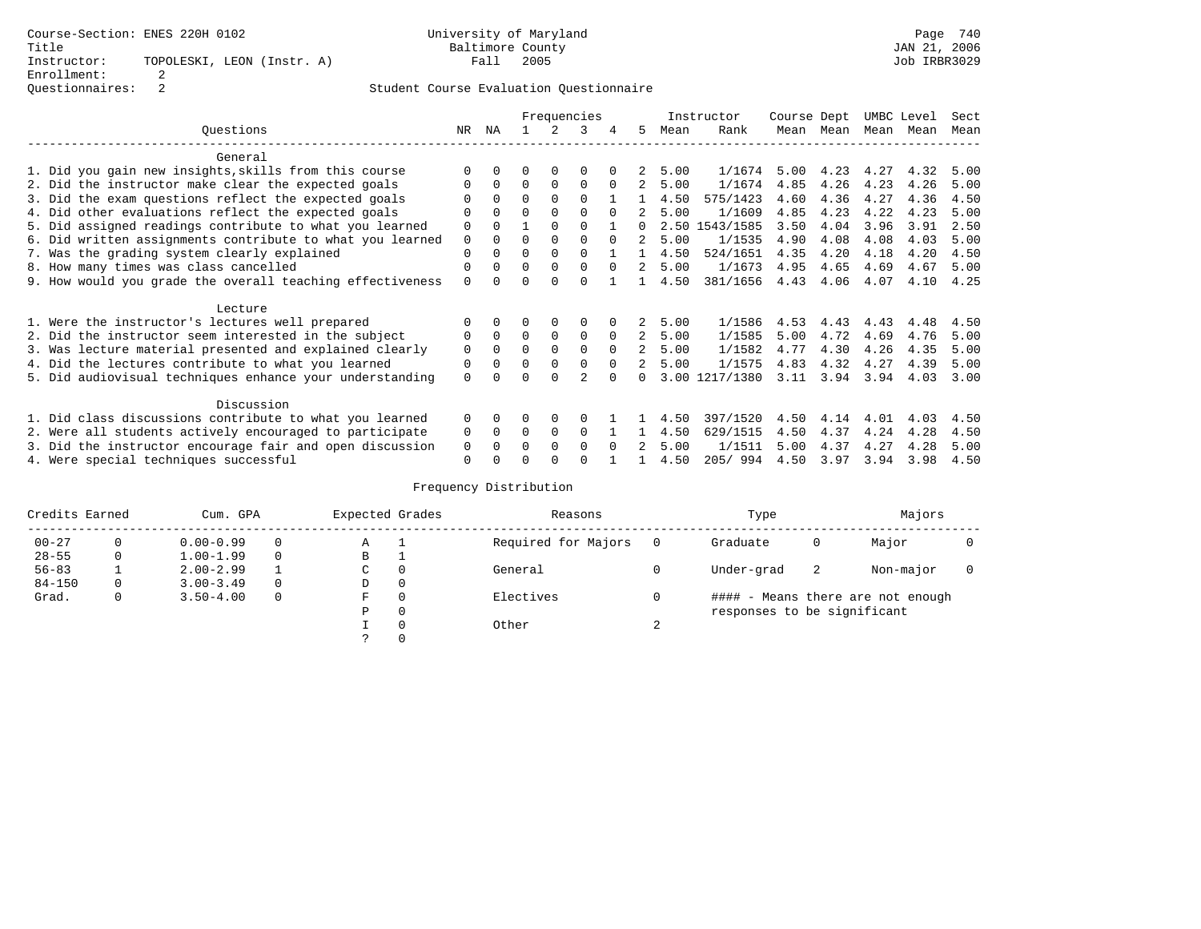|                                                           | Frequencies   |              |          |             |                |          |                |      | Instructor     | Course Dept |      | UMBC Level |      | Sect |
|-----------------------------------------------------------|---------------|--------------|----------|-------------|----------------|----------|----------------|------|----------------|-------------|------|------------|------|------|
| Ouestions                                                 | NR.           | ΝA           |          |             | 3              |          | 5.             | Mean | Rank           | Mean        | Mean | Mean       | Mean | Mean |
| General                                                   |               |              |          |             |                |          |                |      |                |             |      |            |      |      |
| 1. Did you gain new insights, skills from this course     |               | <sup>n</sup> | O        | $\Omega$    | $\Omega$       |          |                | 5.00 | 1/1674         | 5.00        | 4.23 | 4.27       | 4.32 | 5.00 |
| 2. Did the instructor make clear the expected goals       | O             | $\Omega$     | $\Omega$ | $\Omega$    | $\Omega$       | $\Omega$ | 2              | 5.00 | 1/1674         | 4.85        | 4.26 | 4.23       | 4.26 | 5.00 |
| 3. Did the exam questions reflect the expected goals      |               | $\Omega$     | $\Omega$ | $\Omega$    | $\Omega$       |          |                | 4.50 | 575/1423       | 4.60        | 4.36 | 4.27       | 4.36 | 4.50 |
| 4. Did other evaluations reflect the expected goals       | O             | $\Omega$     | $\Omega$ | $\Omega$    | $\Omega$       | $\Omega$ |                | 5.00 | 1/1609         | 4.85        | 4.23 | 4.22       | 4.23 | 5.00 |
| 5. Did assigned readings contribute to what you learned   | $\mathbf 0$   | $\Omega$     |          | $\Omega$    | $\Omega$       |          | $\Omega$       | 2.50 | 1543/1585      | 3.50        | 4.04 | 3.96       | 3.91 | 2.50 |
| 6. Did written assignments contribute to what you learned | $\mathbf 0$   | $\Omega$     | $\Omega$ | $\Omega$    |                | $\Omega$ | $\mathfrak{D}$ | 5.00 | 1/1535         | 4.90        | 4.08 | 4.08       | 4.03 | 5.00 |
| 7. Was the grading system clearly explained               | $\Omega$      | $\Omega$     | 0        | $\Omega$    | $\Omega$       |          |                | 4.50 | 524/1651       | 4.35        | 4.20 | 4.18       | 4.20 | 4.50 |
| 8. How many times was class cancelled                     | 0             | $\Omega$     | $\Omega$ | $\Omega$    | $\Omega$       | $\Omega$ | 2              | 5.00 | 1/1673         | 4.95        | 4.65 | 4.69       | 4.67 | 5.00 |
| 9. How would you grade the overall teaching effectiveness | $\Omega$      | <sup>n</sup> | U        | $\cap$      | $\Omega$       |          |                | 4.50 | 381/1656       | 4.43        | 4.06 | 4.07       | 4.10 | 4.25 |
| Lecture                                                   |               |              |          |             |                |          |                |      |                |             |      |            |      |      |
| 1. Were the instructor's lectures well prepared           |               |              |          |             | 0              |          |                | 5.00 | 1/1586         | 4.53        | 4.43 | 4.43       | 4.48 | 4.50 |
| 2. Did the instructor seem interested in the subject      | 0             | $\Omega$     | $\Omega$ | $\mathbf 0$ | $\mathbf 0$    | $\Omega$ | $\overline{a}$ | 5.00 | 1/1585         | 5.00        | 4.72 | 4.69       | 4.76 | 5.00 |
| 3. Was lecture material presented and explained clearly   | $\mathbf 0$   | $\Omega$     | $\Omega$ | $\Omega$    | $\Omega$       | $\Omega$ | $\mathcal{L}$  | 5.00 | 1/1582         | 4.77        | 4.30 | 4.26       | 4.35 | 5.00 |
| 4. Did the lectures contribute to what you learned        | 0             | $\Omega$     | $\Omega$ | $\Omega$    | $\Omega$       | $\Omega$ |                | 5.00 | 1/1575         | 4.83        | 4.32 | 4.27       | 4.39 | 5.00 |
| 5. Did audiovisual techniques enhance your understanding  | $\Omega$      |              |          |             | $\mathfrak{D}$ |          |                |      | 3.00 1217/1380 | 3.11        | 3.94 | 3.94       | 4.03 | 3.00 |
| Discussion                                                |               |              |          |             |                |          |                |      |                |             |      |            |      |      |
| 1. Did class discussions contribute to what you learned   | $\Omega$      | $\Omega$     | O        | $\Omega$    | $\Omega$       |          |                | 4.50 | 397/1520       | 4.50        | 4.14 | 4.01       | 4.03 | 4.50 |
| 2. Were all students actively encouraged to participate   |               |              | $\Omega$ | $\Omega$    | $\Omega$       |          |                | 4.50 | 629/1515       | 4.50        | 4.37 | 4.24       | 4.28 | 4.50 |
| 3. Did the instructor encourage fair and open discussion  |               |              | 0        | $\Omega$    | $\Omega$       | $\Omega$ |                | 5.00 | 1/1511         | 5.00        | 4.37 | 4.27       | 4.28 | 5.00 |
| 4. Were special techniques successful                     | 0<br>$\Omega$ |              |          |             |                |          |                | 4.50 | 205/994        | 4.50        | 3.97 | 3.94       | 3.98 | 4.50 |

| Credits Earned |   | Cum. GPA      |  | Expected Grades |          | Reasons             |        | Type                        | Majors |                                   |  |
|----------------|---|---------------|--|-----------------|----------|---------------------|--------|-----------------------------|--------|-----------------------------------|--|
| $00 - 27$      | 0 | $0.00 - 0.99$ |  | A               |          | Required for Majors |        | Graduate                    | 0      | Major                             |  |
| $28 - 55$      | 0 | $1.00 - 1.99$ |  | В               |          |                     |        |                             |        |                                   |  |
| $56 - 83$      |   | $2.00 - 2.99$ |  | $\sim$<br>◡     | $\Omega$ | General             |        | Under-grad                  | -2     | Non-major                         |  |
| $84 - 150$     | 0 | $3.00 - 3.49$ |  | D               | 0        |                     |        |                             |        |                                   |  |
| Grad.          | 0 | $3.50 - 4.00$ |  | F               | 0        | Electives           |        |                             |        | #### - Means there are not enough |  |
|                |   |               |  | Ρ               | 0        |                     |        | responses to be significant |        |                                   |  |
|                |   |               |  |                 | 0        | Other               | $\sim$ |                             |        |                                   |  |
|                |   |               |  | C.              |          |                     |        |                             |        |                                   |  |